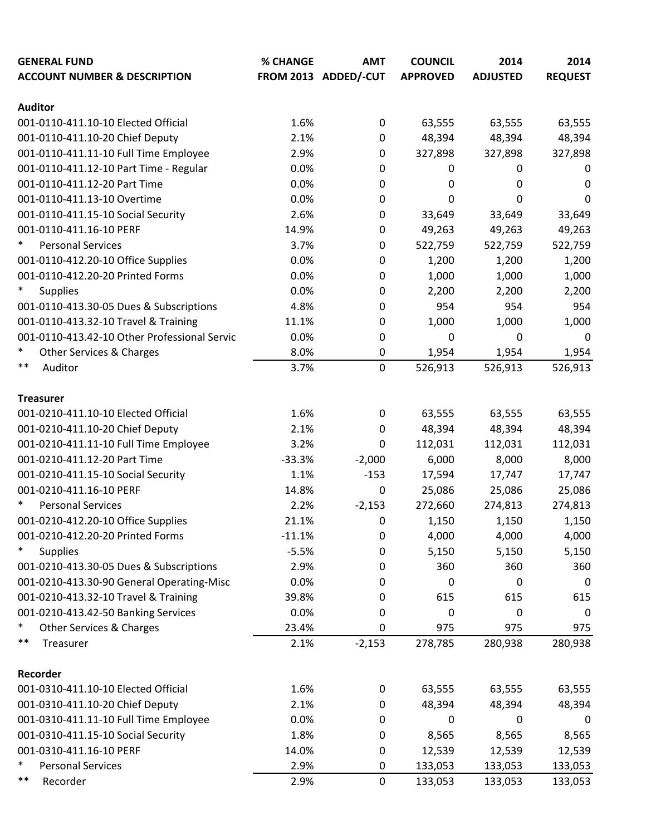| <b>GENERAL FUND</b>                          | % CHANGE | <b>AMT</b>           | <b>COUNCIL</b>  | 2014            | 2014           |
|----------------------------------------------|----------|----------------------|-----------------|-----------------|----------------|
| <b>ACCOUNT NUMBER &amp; DESCRIPTION</b>      |          | FROM 2013 ADDED/-CUT | <b>APPROVED</b> | <b>ADJUSTED</b> | <b>REQUEST</b> |
| <b>Auditor</b>                               |          |                      |                 |                 |                |
| 001-0110-411.10-10 Elected Official          | 1.6%     | 0                    | 63,555          | 63,555          | 63,555         |
| 001-0110-411.10-20 Chief Deputy              | 2.1%     | 0                    | 48,394          | 48,394          | 48,394         |
| 001-0110-411.11-10 Full Time Employee        | 2.9%     | $\mathbf 0$          | 327,898         | 327,898         | 327,898        |
| 001-0110-411.12-10 Part Time - Regular       | 0.0%     | 0                    | 0               | 0               | 0              |
| 001-0110-411.12-20 Part Time                 | 0.0%     | $\mathbf 0$          | 0               | 0               | 0              |
| 001-0110-411.13-10 Overtime                  | 0.0%     | 0                    | 0               | 0               | 0              |
| 001-0110-411.15-10 Social Security           | 2.6%     | 0                    | 33,649          | 33,649          | 33,649         |
| 001-0110-411.16-10 PERF                      | 14.9%    | 0                    | 49,263          | 49,263          | 49,263         |
| $\ast$<br><b>Personal Services</b>           | 3.7%     | $\mathbf 0$          | 522,759         | 522,759         | 522,759        |
| 001-0110-412.20-10 Office Supplies           | 0.0%     | $\mathbf 0$          | 1,200           | 1,200           | 1,200          |
| 001-0110-412.20-20 Printed Forms             | 0.0%     | 0                    | 1,000           | 1,000           | 1,000          |
| $\ast$<br><b>Supplies</b>                    | 0.0%     | 0                    | 2,200           | 2,200           | 2,200          |
| 001-0110-413.30-05 Dues & Subscriptions      | 4.8%     | 0                    | 954             | 954             | 954            |
| 001-0110-413.32-10 Travel & Training         | 11.1%    | 0                    | 1,000           | 1,000           | 1,000          |
| 001-0110-413.42-10 Other Professional Servic | 0.0%     | 0                    | 0               | 0               | 0              |
| $\ast$<br>Other Services & Charges           | 8.0%     | $\mathbf 0$          | 1,954           | 1,954           | 1,954          |
| $***$<br>Auditor                             | 3.7%     | $\mathbf 0$          | 526,913         | 526,913         | 526,913        |
|                                              |          |                      |                 |                 |                |
| <b>Treasurer</b>                             |          |                      |                 |                 |                |
| 001-0210-411.10-10 Elected Official          | 1.6%     | 0                    | 63,555          | 63,555          | 63,555         |
| 001-0210-411.10-20 Chief Deputy              | 2.1%     | 0                    | 48,394          | 48,394          | 48,394         |
| 001-0210-411.11-10 Full Time Employee        | 3.2%     | 0                    | 112,031         | 112,031         | 112,031        |
| 001-0210-411.12-20 Part Time                 | $-33.3%$ | $-2,000$             | 6,000           | 8,000           | 8,000          |
| 001-0210-411.15-10 Social Security           | 1.1%     | $-153$               | 17,594          | 17,747          | 17,747         |
| 001-0210-411.16-10 PERF                      | 14.8%    | $\boldsymbol{0}$     | 25,086          | 25,086          | 25,086         |
| $\ast$<br><b>Personal Services</b>           | 2.2%     | $-2,153$             | 272,660         | 274,813         | 274,813        |
| 001-0210-412.20-10 Office Supplies           | 21.1%    | 0                    | 1,150           | 1,150           | 1,150          |
| 001-0210-412.20-20 Printed Forms             | $-11.1%$ | $\mathbf 0$          | 4,000           | 4,000           | 4,000          |
| $\ast$<br><b>Supplies</b>                    | $-5.5%$  | $\pmb{0}$            | 5,150           | 5,150           | 5,150          |
| 001-0210-413.30-05 Dues & Subscriptions      | 2.9%     | $\mathbf 0$          | 360             | 360             | 360            |
| 001-0210-413.30-90 General Operating-Misc    | 0.0%     | $\mathbf 0$          | $\pmb{0}$       | 0               | 0              |
| 001-0210-413.32-10 Travel & Training         | 39.8%    | 0                    | 615             | 615             | 615            |
| 001-0210-413.42-50 Banking Services          | 0.0%     | 0                    | 0               | 0               | 0              |
| $\ast$<br>Other Services & Charges           | 23.4%    | 0                    | 975             | 975             | 975            |
| $***$<br>Treasurer                           | 2.1%     | $-2,153$             | 278,785         | 280,938         | 280,938        |
|                                              |          |                      |                 |                 |                |
| Recorder                                     |          |                      |                 |                 |                |
| 001-0310-411.10-10 Elected Official          | 1.6%     | $\boldsymbol{0}$     | 63,555          | 63,555          | 63,555         |
| 001-0310-411.10-20 Chief Deputy              | 2.1%     | 0                    | 48,394          | 48,394          | 48,394         |
| 001-0310-411.11-10 Full Time Employee        | 0.0%     | $\mathbf 0$          | $\pmb{0}$       | 0               | 0              |
| 001-0310-411.15-10 Social Security           | 1.8%     | 0                    | 8,565           | 8,565           | 8,565          |
| 001-0310-411.16-10 PERF                      | 14.0%    | $\mathbf 0$          | 12,539          | 12,539          | 12,539         |
| $\ast$<br><b>Personal Services</b>           | 2.9%     | $\mathbf 0$          | 133,053         | 133,053         | 133,053        |
| $***$<br>Recorder                            | 2.9%     | $\mathbf 0$          | 133,053         | 133,053         | 133,053        |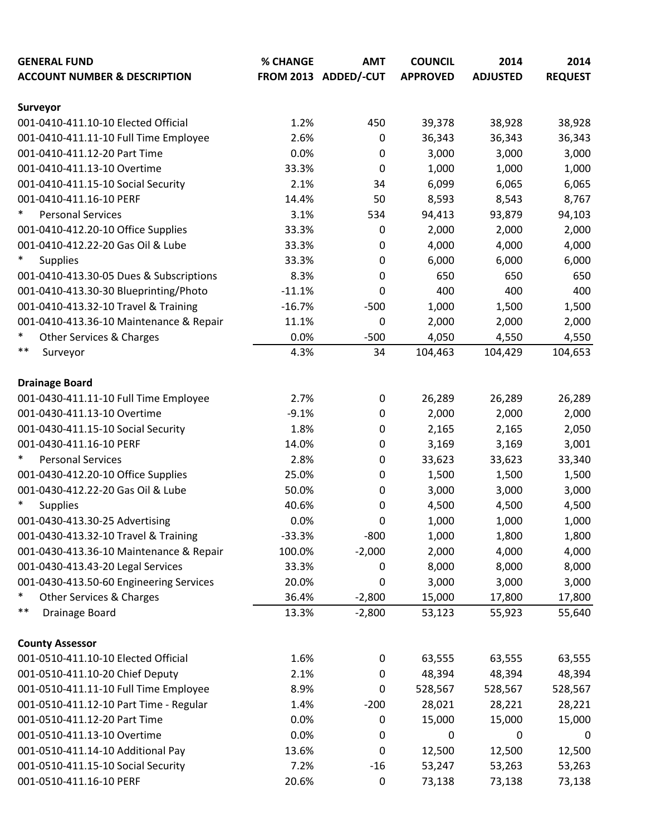| <b>GENERAL FUND</b>                     | % CHANGE | <b>AMT</b>           | <b>COUNCIL</b>   | 2014            | 2014           |
|-----------------------------------------|----------|----------------------|------------------|-----------------|----------------|
| <b>ACCOUNT NUMBER &amp; DESCRIPTION</b> |          | FROM 2013 ADDED/-CUT | <b>APPROVED</b>  | <b>ADJUSTED</b> | <b>REQUEST</b> |
|                                         |          |                      |                  |                 |                |
| Surveyor                                |          |                      |                  |                 |                |
| 001-0410-411.10-10 Elected Official     | 1.2%     | 450                  | 39,378           | 38,928          | 38,928         |
| 001-0410-411.11-10 Full Time Employee   | 2.6%     | 0                    | 36,343           | 36,343          | 36,343         |
| 001-0410-411.12-20 Part Time            | 0.0%     | 0                    | 3,000            | 3,000           | 3,000          |
| 001-0410-411.13-10 Overtime             | 33.3%    | 0                    | 1,000            | 1,000           | 1,000          |
| 001-0410-411.15-10 Social Security      | 2.1%     | 34                   | 6,099            | 6,065           | 6,065          |
| 001-0410-411.16-10 PERF                 | 14.4%    | 50                   | 8,593            | 8,543           | 8,767          |
| $\ast$<br><b>Personal Services</b>      | 3.1%     | 534                  | 94,413           | 93,879          | 94,103         |
| 001-0410-412.20-10 Office Supplies      | 33.3%    | 0                    | 2,000            | 2,000           | 2,000          |
| 001-0410-412.22-20 Gas Oil & Lube       | 33.3%    | 0                    | 4,000            | 4,000           | 4,000          |
| $\ast$<br><b>Supplies</b>               | 33.3%    | $\pmb{0}$            | 6,000            | 6,000           | 6,000          |
| 001-0410-413.30-05 Dues & Subscriptions | 8.3%     | 0                    | 650              | 650             | 650            |
| 001-0410-413.30-30 Blueprinting/Photo   | $-11.1%$ | 0                    | 400              | 400             | 400            |
| 001-0410-413.32-10 Travel & Training    | $-16.7%$ | $-500$               | 1,000            | 1,500           | 1,500          |
| 001-0410-413.36-10 Maintenance & Repair | 11.1%    | 0                    | 2,000            | 2,000           | 2,000          |
| *<br>Other Services & Charges           | 0.0%     | $-500$               | 4,050            | 4,550           | 4,550          |
| $***$<br>Surveyor                       | 4.3%     | 34                   | 104,463          | 104,429         | 104,653        |
|                                         |          |                      |                  |                 |                |
| <b>Drainage Board</b>                   |          |                      |                  |                 |                |
| 001-0430-411.11-10 Full Time Employee   | 2.7%     | 0                    | 26,289           | 26,289          | 26,289         |
| 001-0430-411.13-10 Overtime             | $-9.1%$  | 0                    | 2,000            | 2,000           | 2,000          |
| 001-0430-411.15-10 Social Security      | 1.8%     | 0                    | 2,165            | 2,165           | 2,050          |
| 001-0430-411.16-10 PERF                 | 14.0%    | 0                    | 3,169            | 3,169           | 3,001          |
| $\ast$<br><b>Personal Services</b>      | 2.8%     | 0                    | 33,623           | 33,623          | 33,340         |
| 001-0430-412.20-10 Office Supplies      | 25.0%    | 0                    | 1,500            | 1,500           | 1,500          |
| 001-0430-412.22-20 Gas Oil & Lube       | 50.0%    | 0                    | 3,000            | 3,000           | 3,000          |
| $\ast$<br><b>Supplies</b>               | 40.6%    | 0                    | 4,500            | 4,500           | 4,500          |
| 001-0430-413.30-25 Advertising          | 0.0%     | 0                    | 1,000            | 1,000           | 1,000          |
| 001-0430-413.32-10 Travel & Training    | $-33.3%$ | $-800$               | 1,000            | 1,800           | 1,800          |
| 001-0430-413.36-10 Maintenance & Repair | 100.0%   | $-2,000$             | 2,000            | 4,000           | 4,000          |
| 001-0430-413.43-20 Legal Services       | 33.3%    | 0                    | 8,000            | 8,000           | 8,000          |
| 001-0430-413.50-60 Engineering Services | 20.0%    | 0                    | 3,000            | 3,000           | 3,000          |
| $\ast$<br>Other Services & Charges      | 36.4%    | $-2,800$             | 15,000           | 17,800          | 17,800         |
| **<br>Drainage Board                    | 13.3%    | $-2,800$             | 53,123           | 55,923          | 55,640         |
|                                         |          |                      |                  |                 |                |
| <b>County Assessor</b>                  |          |                      |                  |                 |                |
| 001-0510-411.10-10 Elected Official     | 1.6%     | $\pmb{0}$            | 63,555           | 63,555          | 63,555         |
| 001-0510-411.10-20 Chief Deputy         | 2.1%     | 0                    | 48,394           | 48,394          | 48,394         |
| 001-0510-411.11-10 Full Time Employee   | 8.9%     | 0                    | 528,567          | 528,567         | 528,567        |
| 001-0510-411.12-10 Part Time - Regular  | 1.4%     | $-200$               | 28,021           | 28,221          | 28,221         |
| 001-0510-411.12-20 Part Time            | 0.0%     | 0                    | 15,000           | 15,000          | 15,000         |
| 001-0510-411.13-10 Overtime             | 0.0%     | 0                    | $\boldsymbol{0}$ | 0               | 0              |
| 001-0510-411.14-10 Additional Pay       | 13.6%    | 0                    | 12,500           | 12,500          | 12,500         |
| 001-0510-411.15-10 Social Security      | 7.2%     | $-16$                | 53,247           | 53,263          | 53,263         |
| 001-0510-411.16-10 PERF                 | 20.6%    | 0                    | 73,138           | 73,138          | 73,138         |
|                                         |          |                      |                  |                 |                |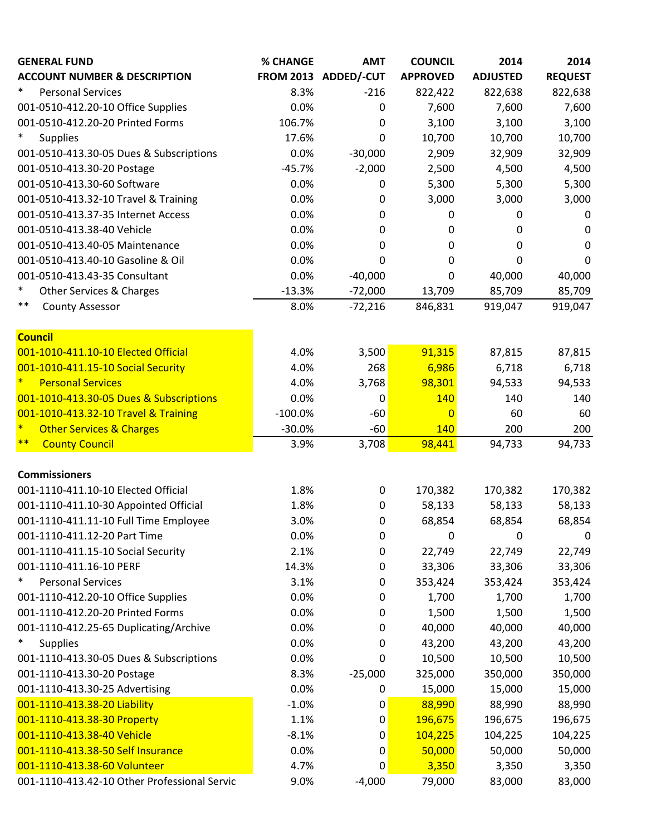| <b>GENERAL FUND</b>                                                      | % CHANGE  | <b>AMT</b>           | <b>COUNCIL</b>  | 2014            | 2014           |
|--------------------------------------------------------------------------|-----------|----------------------|-----------------|-----------------|----------------|
| <b>ACCOUNT NUMBER &amp; DESCRIPTION</b>                                  |           | FROM 2013 ADDED/-CUT | <b>APPROVED</b> | <b>ADJUSTED</b> | <b>REQUEST</b> |
| $\ast$<br><b>Personal Services</b>                                       | 8.3%      | $-216$               | 822,422         | 822,638         | 822,638        |
| 001-0510-412.20-10 Office Supplies                                       | 0.0%      | 0                    | 7,600           | 7,600           | 7,600          |
| 001-0510-412.20-20 Printed Forms                                         | 106.7%    | 0                    | 3,100           | 3,100           | 3,100          |
| $\ast$<br><b>Supplies</b>                                                | 17.6%     | 0                    | 10,700          | 10,700          | 10,700         |
| 001-0510-413.30-05 Dues & Subscriptions                                  | 0.0%      | $-30,000$            | 2,909           | 32,909          | 32,909         |
| 001-0510-413.30-20 Postage                                               | $-45.7%$  | $-2,000$             | 2,500           | 4,500           | 4,500          |
| 001-0510-413.30-60 Software                                              | 0.0%      | 0                    | 5,300           | 5,300           | 5,300          |
| 001-0510-413.32-10 Travel & Training                                     | 0.0%      | 0                    | 3,000           | 3,000           | 3,000          |
| 001-0510-413.37-35 Internet Access                                       | 0.0%      | 0                    | 0               | 0               | 0              |
| 001-0510-413.38-40 Vehicle                                               | 0.0%      | 0                    | $\pmb{0}$       | 0               | 0              |
| 001-0510-413.40-05 Maintenance                                           | 0.0%      | 0                    | 0               | 0               | 0              |
| 001-0510-413.40-10 Gasoline & Oil                                        | 0.0%      | 0                    | 0               | 0               | 0              |
| 001-0510-413.43-35 Consultant                                            | 0.0%      | $-40,000$            | 0               | 40,000          | 40,000         |
| $\ast$<br><b>Other Services &amp; Charges</b>                            | $-13.3%$  | $-72,000$            | 13,709          | 85,709          | 85,709         |
| $***$<br><b>County Assessor</b>                                          | 8.0%      | $-72,216$            | 846,831         | 919,047         | 919,047        |
|                                                                          |           |                      |                 |                 |                |
| <b>Council</b>                                                           |           | 3,500                | 91,315          |                 |                |
| 001-1010-411.10-10 Elected Official                                      | 4.0%      |                      |                 | 87,815          | 87,815         |
| 001-1010-411.15-10 Social Security<br>$\ast$<br><b>Personal Services</b> | 4.0%      | 268                  | 6,986           | 6,718           | 6,718          |
|                                                                          | 4.0%      | 3,768                | 98,301          | 94,533          | 94,533         |
| 001-1010-413.30-05 Dues & Subscriptions                                  | 0.0%      | 0                    | 140             | 140             | 140            |
| 001-1010-413.32-10 Travel & Training<br>$\ast$                           | $-100.0%$ | $-60$                | $\overline{0}$  | 60              | 60             |
| <b>Other Services &amp; Charges</b><br>$***$                             | $-30.0%$  | $-60$                | 140             | 200             | 200            |
| <b>County Council</b>                                                    | 3.9%      | 3,708                | 98,441          | 94,733          | 94,733         |
| <b>Commissioners</b>                                                     |           |                      |                 |                 |                |
| 001-1110-411.10-10 Elected Official                                      | 1.8%      | 0                    | 170,382         | 170,382         | 170,382        |
| 001-1110-411.10-30 Appointed Official                                    | 1.8%      | 0                    | 58,133          | 58,133          | 58,133         |
| 001-1110-411.11-10 Full Time Employee                                    | 3.0%      | 0                    | 68,854          | 68,854          | 68,854         |
| 001-1110-411.12-20 Part Time                                             | 0.0%      | 0                    | $\mathbf 0$     | 0               | 0              |
| 001-1110-411.15-10 Social Security                                       | 2.1%      | 0                    | 22,749          | 22,749          | 22,749         |
| 001-1110-411.16-10 PERF                                                  | 14.3%     | 0                    | 33,306          | 33,306          | 33,306         |
| $\ast$<br><b>Personal Services</b>                                       | 3.1%      | 0                    | 353,424         | 353,424         | 353,424        |
| 001-1110-412.20-10 Office Supplies                                       | 0.0%      | 0                    | 1,700           | 1,700           | 1,700          |
| 001-1110-412.20-20 Printed Forms                                         | 0.0%      | 0                    | 1,500           | 1,500           | 1,500          |
| 001-1110-412.25-65 Duplicating/Archive                                   | 0.0%      | 0                    | 40,000          | 40,000          | 40,000         |
| $\ast$<br><b>Supplies</b>                                                | 0.0%      | 0                    | 43,200          | 43,200          | 43,200         |
| 001-1110-413.30-05 Dues & Subscriptions                                  | 0.0%      | 0                    | 10,500          | 10,500          | 10,500         |
| 001-1110-413.30-20 Postage                                               | 8.3%      | $-25,000$            | 325,000         | 350,000         | 350,000        |
| 001-1110-413.30-25 Advertising                                           | 0.0%      | 0                    | 15,000          | 15,000          | 15,000         |
| 001-1110-413.38-20 Liability                                             | $-1.0%$   | 0                    | 88,990          | 88,990          | 88,990         |
| 001-1110-413.38-30 Property                                              | 1.1%      | 0                    | 196,675         | 196,675         | 196,675        |
| 001-1110-413.38-40 Vehicle                                               | $-8.1%$   | 0                    | 104,225         | 104,225         | 104,225        |
| 001-1110-413.38-50 Self Insurance                                        | 0.0%      | 0                    | 50,000          | 50,000          | 50,000         |
| 001-1110-413.38-60 Volunteer                                             | 4.7%      | 0                    | 3,350           | 3,350           | 3,350          |
| 001-1110-413.42-10 Other Professional Servic                             | 9.0%      | $-4,000$             | 79,000          | 83,000          | 83,000         |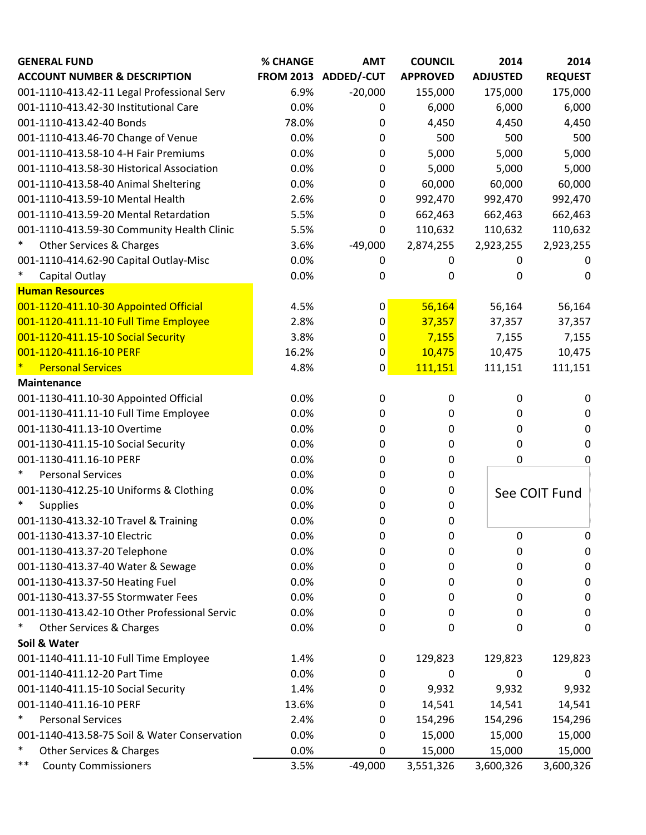| <b>GENERAL FUND</b>                          | % CHANGE | <b>AMT</b>           | <b>COUNCIL</b>  | 2014            | 2014           |
|----------------------------------------------|----------|----------------------|-----------------|-----------------|----------------|
| <b>ACCOUNT NUMBER &amp; DESCRIPTION</b>      |          | FROM 2013 ADDED/-CUT | <b>APPROVED</b> | <b>ADJUSTED</b> | <b>REQUEST</b> |
| 001-1110-413.42-11 Legal Professional Serv   | 6.9%     | $-20,000$            | 155,000         | 175,000         | 175,000        |
| 001-1110-413.42-30 Institutional Care        | 0.0%     | 0                    | 6,000           | 6,000           | 6,000          |
| 001-1110-413.42-40 Bonds                     | 78.0%    | 0                    | 4,450           | 4,450           | 4,450          |
| 001-1110-413.46-70 Change of Venue           | 0.0%     | 0                    | 500             | 500             | 500            |
| 001-1110-413.58-10 4-H Fair Premiums         | 0.0%     | 0                    | 5,000           | 5,000           | 5,000          |
| 001-1110-413.58-30 Historical Association    | 0.0%     | 0                    | 5,000           | 5,000           | 5,000          |
| 001-1110-413.58-40 Animal Sheltering         | 0.0%     | 0                    | 60,000          | 60,000          | 60,000         |
| 001-1110-413.59-10 Mental Health             | 2.6%     | 0                    | 992,470         | 992,470         | 992,470        |
| 001-1110-413.59-20 Mental Retardation        | 5.5%     | 0                    | 662,463         | 662,463         | 662,463        |
| 001-1110-413.59-30 Community Health Clinic   | 5.5%     | 0                    | 110,632         | 110,632         | 110,632        |
| $\ast$<br>Other Services & Charges           | 3.6%     | $-49,000$            | 2,874,255       | 2,923,255       | 2,923,255      |
| 001-1110-414.62-90 Capital Outlay-Misc       | 0.0%     | 0                    | 0               | 0               | $\Omega$       |
| $\ast$<br>Capital Outlay                     | 0.0%     | 0                    | 0               | 0               | 0              |
| <b>Human Resources</b>                       |          |                      |                 |                 |                |
| 001-1120-411.10-30 Appointed Official        | 4.5%     | 0                    | 56,164          | 56,164          | 56,164         |
| 001-1120-411.11-10 Full Time Employee        | 2.8%     | 0                    | 37,357          | 37,357          | 37,357         |
| 001-1120-411.15-10 Social Security           | 3.8%     | 0                    | 7,155           | 7,155           | 7,155          |
| 001-1120-411.16-10 PERF                      | 16.2%    | 0                    | 10,475          | 10,475          | 10,475         |
| ×<br><b>Personal Services</b>                | 4.8%     | 0                    | 111,151         | 111,151         | 111,151        |
| Maintenance                                  |          |                      |                 |                 |                |
| 001-1130-411.10-30 Appointed Official        | 0.0%     | $\mathbf 0$          | 0               | 0               | 0              |
| 001-1130-411.11-10 Full Time Employee        | 0.0%     | 0                    | 0               | 0               | 0              |
| 001-1130-411.13-10 Overtime                  | 0.0%     | 0                    | 0               | 0               | 0              |
| 001-1130-411.15-10 Social Security           | 0.0%     | 0                    | 0               | 0               | 0              |
| 001-1130-411.16-10 PERF                      | 0.0%     | 0                    | 0               | 0               | 0              |
| $\ast$<br><b>Personal Services</b>           | 0.0%     | 0                    | 0               |                 |                |
| 001-1130-412.25-10 Uniforms & Clothing       | 0.0%     | 0                    | 0               |                 | See COIT Fund  |
| $\ast$<br><b>Supplies</b>                    | 0.0%     | 0                    | 0               |                 |                |
| 001-1130-413.32-10 Travel & Training         | 0.0%     | 0                    | 0               |                 |                |
| 001-1130-413.37-10 Electric                  | 0.0%     | 0                    | 0               | 0               | $\pmb{0}$      |
| 001-1130-413.37-20 Telephone                 | 0.0%     | 0                    | 0               | 0               | 0              |
| 001-1130-413.37-40 Water & Sewage            | 0.0%     | 0                    | 0               | 0               | 0              |
| 001-1130-413.37-50 Heating Fuel              | 0.0%     | 0                    | 0               | 0               | 0              |
| 001-1130-413.37-55 Stormwater Fees           | 0.0%     | 0                    | 0               | 0               | 0              |
| 001-1130-413.42-10 Other Professional Servic | 0.0%     | 0                    | 0               | 0               | 0              |
| Other Services & Charges                     | 0.0%     | 0                    | 0               | 0               | 0              |
| Soil & Water                                 |          |                      |                 |                 |                |
| 001-1140-411.11-10 Full Time Employee        | 1.4%     | 0                    | 129,823         | 129,823         | 129,823        |
| 001-1140-411.12-20 Part Time                 | 0.0%     | 0                    | 0               | 0               | 0              |
| 001-1140-411.15-10 Social Security           | 1.4%     | 0                    | 9,932           | 9,932           | 9,932          |
| 001-1140-411.16-10 PERF                      | 13.6%    | 0                    | 14,541          | 14,541          | 14,541         |
| $\ast$<br><b>Personal Services</b>           | 2.4%     | 0                    | 154,296         | 154,296         | 154,296        |
| 001-1140-413.58-75 Soil & Water Conservation | 0.0%     | 0                    | 15,000          | 15,000          | 15,000         |
| $\ast$<br>Other Services & Charges           | 0.0%     | 0                    | 15,000          | 15,000          | 15,000         |
| $***$<br><b>County Commissioners</b>         | 3.5%     | $-49,000$            | 3,551,326       | 3,600,326       | 3,600,326      |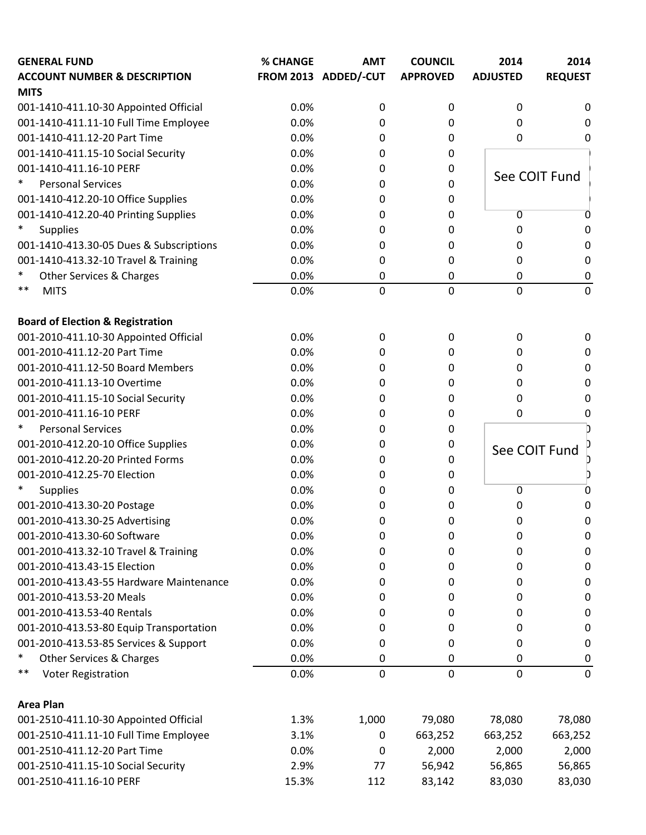| FROM 2013 ADDED/-CUT<br><b>APPROVED</b><br><b>ADJUSTED</b><br><b>REQUEST</b><br>0.0%<br>0<br>0<br>0<br>0<br>0.0%<br>0<br>0<br>0<br>0<br>0.0%<br>0<br>0<br>0<br>0<br>0.0%<br>0<br>0<br>0.0%<br>0<br>0<br>See COIT Fund<br>$\ast$<br><b>Personal Services</b><br>0.0%<br>0<br>0<br>001-1410-412.20-10 Office Supplies<br>0.0%<br>0<br>0<br>001-1410-412.20-40 Printing Supplies<br>0.0%<br>$\overline{0}$<br>0<br>0<br>0<br>$\ast$<br>0.0%<br><b>Supplies</b><br>0<br>0<br>0<br>0<br>001-1410-413.30-05 Dues & Subscriptions<br>0.0%<br>0<br>$\mathbf 0$<br>0<br>0<br>001-1410-413.32-10 Travel & Training<br>0.0%<br>0<br>$\mathbf 0$<br>0<br>0<br>$\ast$<br>Other Services & Charges<br>0.0%<br>0<br>0<br>0<br>0<br>$\overline{0}$<br>$***$<br>0<br>0<br>0.0%<br>$\mathbf 0$<br><b>MITS</b><br><b>Board of Election &amp; Registration</b><br>001-2010-411.10-30 Appointed Official<br>0.0%<br>0<br>0<br>0<br>0<br>001-2010-411.12-20 Part Time<br>0.0%<br>$\boldsymbol{0}$<br>0<br>0<br>0<br>001-2010-411.12-50 Board Members<br>0.0%<br>0<br>0<br>0<br>0<br>001-2010-411.13-10 Overtime<br>0.0%<br>0<br>0<br>0<br>0<br>0.0%<br>001-2010-411.15-10 Social Security<br>0<br>0<br>0<br>0<br>001-2010-411.16-10 PERF<br>0.0%<br>0<br>0<br>0<br>0<br>$\ast$<br><b>Personal Services</b><br>0.0%<br>0<br>0<br>001-2010-412.20-10 Office Supplies<br>0.0%<br>0<br>0<br>See COIT Fund<br>001-2010-412.20-20 Printed Forms<br>0.0%<br>0<br>0<br>001-2010-412.25-70 Election<br>0.0%<br>0<br>0<br>0.0%<br><b>Supplies</b><br>0<br>0<br>0<br>0<br>001-2010-413.30-20 Postage<br>0.0%<br>0<br>0<br>0<br>0<br>0.0%<br>001-2010-413.30-25 Advertising<br>0<br>0<br>0<br>0<br>0.0%<br>0<br>0<br>0<br>$\boldsymbol{0}$<br>001-2010-413.32-10 Travel & Training<br>0.0%<br>0<br>0<br>0<br>0<br>0.0%<br>0<br>0<br>0<br>0<br>0.0%<br>0<br>0<br>$\boldsymbol{0}$<br>0<br>0.0%<br>0<br>0<br>0<br>0<br>0.0%<br>0<br>0<br>0<br>0<br>0.0%<br>$\boldsymbol{0}$<br>0<br>0<br>0<br>0.0%<br>$\boldsymbol{0}$<br>0<br>0<br>0<br>$\ast$<br><b>Other Services &amp; Charges</b><br>0.0%<br>$\pmb{0}$<br>$\mathbf 0$<br>$\boldsymbol{0}$<br>0<br><b>Voter Registration</b><br>**<br>0.0%<br>$\mathbf 0$<br>$\mathbf 0$<br>$\mathbf 0$<br>$\mathbf 0$<br>001-2510-411.10-30 Appointed Official<br>1,000<br>1.3%<br>79,080<br>78,080<br>78,080<br>001-2510-411.11-10 Full Time Employee<br>3.1%<br>663,252<br>663,252<br>663,252<br>0<br>001-2510-411.12-20 Part Time<br>0.0%<br>2,000<br>2,000<br>2,000<br>0<br>001-2510-411.15-10 Social Security<br>56,942<br>2.9%<br>77<br>56,865<br>56,865<br>001-2510-411.16-10 PERF<br>15.3%<br>83,142<br>112<br>83,030<br>83,030 | <b>GENERAL FUND</b>                     | <b>% CHANGE</b> | <b>AMT</b> | <b>COUNCIL</b> | 2014 | 2014 |
|------------------------------------------------------------------------------------------------------------------------------------------------------------------------------------------------------------------------------------------------------------------------------------------------------------------------------------------------------------------------------------------------------------------------------------------------------------------------------------------------------------------------------------------------------------------------------------------------------------------------------------------------------------------------------------------------------------------------------------------------------------------------------------------------------------------------------------------------------------------------------------------------------------------------------------------------------------------------------------------------------------------------------------------------------------------------------------------------------------------------------------------------------------------------------------------------------------------------------------------------------------------------------------------------------------------------------------------------------------------------------------------------------------------------------------------------------------------------------------------------------------------------------------------------------------------------------------------------------------------------------------------------------------------------------------------------------------------------------------------------------------------------------------------------------------------------------------------------------------------------------------------------------------------------------------------------------------------------------------------------------------------------------------------------------------------------------------------------------------------------------------------------------------------------------------------------------------------------------------------------------------------------------------------------------------------------------------------------------------------------------------------------------------------------------------------------------------------------------------------------------------------------------------------------------------------------------------------------------------------------------------------|-----------------------------------------|-----------------|------------|----------------|------|------|
|                                                                                                                                                                                                                                                                                                                                                                                                                                                                                                                                                                                                                                                                                                                                                                                                                                                                                                                                                                                                                                                                                                                                                                                                                                                                                                                                                                                                                                                                                                                                                                                                                                                                                                                                                                                                                                                                                                                                                                                                                                                                                                                                                                                                                                                                                                                                                                                                                                                                                                                                                                                                                                          | <b>ACCOUNT NUMBER &amp; DESCRIPTION</b> |                 |            |                |      |      |
|                                                                                                                                                                                                                                                                                                                                                                                                                                                                                                                                                                                                                                                                                                                                                                                                                                                                                                                                                                                                                                                                                                                                                                                                                                                                                                                                                                                                                                                                                                                                                                                                                                                                                                                                                                                                                                                                                                                                                                                                                                                                                                                                                                                                                                                                                                                                                                                                                                                                                                                                                                                                                                          | <b>MITS</b>                             |                 |            |                |      |      |
|                                                                                                                                                                                                                                                                                                                                                                                                                                                                                                                                                                                                                                                                                                                                                                                                                                                                                                                                                                                                                                                                                                                                                                                                                                                                                                                                                                                                                                                                                                                                                                                                                                                                                                                                                                                                                                                                                                                                                                                                                                                                                                                                                                                                                                                                                                                                                                                                                                                                                                                                                                                                                                          | 001-1410-411.10-30 Appointed Official   |                 |            |                |      |      |
|                                                                                                                                                                                                                                                                                                                                                                                                                                                                                                                                                                                                                                                                                                                                                                                                                                                                                                                                                                                                                                                                                                                                                                                                                                                                                                                                                                                                                                                                                                                                                                                                                                                                                                                                                                                                                                                                                                                                                                                                                                                                                                                                                                                                                                                                                                                                                                                                                                                                                                                                                                                                                                          | 001-1410-411.11-10 Full Time Employee   |                 |            |                |      |      |
|                                                                                                                                                                                                                                                                                                                                                                                                                                                                                                                                                                                                                                                                                                                                                                                                                                                                                                                                                                                                                                                                                                                                                                                                                                                                                                                                                                                                                                                                                                                                                                                                                                                                                                                                                                                                                                                                                                                                                                                                                                                                                                                                                                                                                                                                                                                                                                                                                                                                                                                                                                                                                                          | 001-1410-411.12-20 Part Time            |                 |            |                |      |      |
|                                                                                                                                                                                                                                                                                                                                                                                                                                                                                                                                                                                                                                                                                                                                                                                                                                                                                                                                                                                                                                                                                                                                                                                                                                                                                                                                                                                                                                                                                                                                                                                                                                                                                                                                                                                                                                                                                                                                                                                                                                                                                                                                                                                                                                                                                                                                                                                                                                                                                                                                                                                                                                          | 001-1410-411.15-10 Social Security      |                 |            |                |      |      |
|                                                                                                                                                                                                                                                                                                                                                                                                                                                                                                                                                                                                                                                                                                                                                                                                                                                                                                                                                                                                                                                                                                                                                                                                                                                                                                                                                                                                                                                                                                                                                                                                                                                                                                                                                                                                                                                                                                                                                                                                                                                                                                                                                                                                                                                                                                                                                                                                                                                                                                                                                                                                                                          | 001-1410-411.16-10 PERF                 |                 |            |                |      |      |
|                                                                                                                                                                                                                                                                                                                                                                                                                                                                                                                                                                                                                                                                                                                                                                                                                                                                                                                                                                                                                                                                                                                                                                                                                                                                                                                                                                                                                                                                                                                                                                                                                                                                                                                                                                                                                                                                                                                                                                                                                                                                                                                                                                                                                                                                                                                                                                                                                                                                                                                                                                                                                                          |                                         |                 |            |                |      |      |
|                                                                                                                                                                                                                                                                                                                                                                                                                                                                                                                                                                                                                                                                                                                                                                                                                                                                                                                                                                                                                                                                                                                                                                                                                                                                                                                                                                                                                                                                                                                                                                                                                                                                                                                                                                                                                                                                                                                                                                                                                                                                                                                                                                                                                                                                                                                                                                                                                                                                                                                                                                                                                                          |                                         |                 |            |                |      |      |
|                                                                                                                                                                                                                                                                                                                                                                                                                                                                                                                                                                                                                                                                                                                                                                                                                                                                                                                                                                                                                                                                                                                                                                                                                                                                                                                                                                                                                                                                                                                                                                                                                                                                                                                                                                                                                                                                                                                                                                                                                                                                                                                                                                                                                                                                                                                                                                                                                                                                                                                                                                                                                                          |                                         |                 |            |                |      |      |
|                                                                                                                                                                                                                                                                                                                                                                                                                                                                                                                                                                                                                                                                                                                                                                                                                                                                                                                                                                                                                                                                                                                                                                                                                                                                                                                                                                                                                                                                                                                                                                                                                                                                                                                                                                                                                                                                                                                                                                                                                                                                                                                                                                                                                                                                                                                                                                                                                                                                                                                                                                                                                                          |                                         |                 |            |                |      |      |
|                                                                                                                                                                                                                                                                                                                                                                                                                                                                                                                                                                                                                                                                                                                                                                                                                                                                                                                                                                                                                                                                                                                                                                                                                                                                                                                                                                                                                                                                                                                                                                                                                                                                                                                                                                                                                                                                                                                                                                                                                                                                                                                                                                                                                                                                                                                                                                                                                                                                                                                                                                                                                                          |                                         |                 |            |                |      |      |
|                                                                                                                                                                                                                                                                                                                                                                                                                                                                                                                                                                                                                                                                                                                                                                                                                                                                                                                                                                                                                                                                                                                                                                                                                                                                                                                                                                                                                                                                                                                                                                                                                                                                                                                                                                                                                                                                                                                                                                                                                                                                                                                                                                                                                                                                                                                                                                                                                                                                                                                                                                                                                                          |                                         |                 |            |                |      |      |
|                                                                                                                                                                                                                                                                                                                                                                                                                                                                                                                                                                                                                                                                                                                                                                                                                                                                                                                                                                                                                                                                                                                                                                                                                                                                                                                                                                                                                                                                                                                                                                                                                                                                                                                                                                                                                                                                                                                                                                                                                                                                                                                                                                                                                                                                                                                                                                                                                                                                                                                                                                                                                                          |                                         |                 |            |                |      |      |
|                                                                                                                                                                                                                                                                                                                                                                                                                                                                                                                                                                                                                                                                                                                                                                                                                                                                                                                                                                                                                                                                                                                                                                                                                                                                                                                                                                                                                                                                                                                                                                                                                                                                                                                                                                                                                                                                                                                                                                                                                                                                                                                                                                                                                                                                                                                                                                                                                                                                                                                                                                                                                                          |                                         |                 |            |                |      |      |
|                                                                                                                                                                                                                                                                                                                                                                                                                                                                                                                                                                                                                                                                                                                                                                                                                                                                                                                                                                                                                                                                                                                                                                                                                                                                                                                                                                                                                                                                                                                                                                                                                                                                                                                                                                                                                                                                                                                                                                                                                                                                                                                                                                                                                                                                                                                                                                                                                                                                                                                                                                                                                                          |                                         |                 |            |                |      |      |
|                                                                                                                                                                                                                                                                                                                                                                                                                                                                                                                                                                                                                                                                                                                                                                                                                                                                                                                                                                                                                                                                                                                                                                                                                                                                                                                                                                                                                                                                                                                                                                                                                                                                                                                                                                                                                                                                                                                                                                                                                                                                                                                                                                                                                                                                                                                                                                                                                                                                                                                                                                                                                                          |                                         |                 |            |                |      |      |
|                                                                                                                                                                                                                                                                                                                                                                                                                                                                                                                                                                                                                                                                                                                                                                                                                                                                                                                                                                                                                                                                                                                                                                                                                                                                                                                                                                                                                                                                                                                                                                                                                                                                                                                                                                                                                                                                                                                                                                                                                                                                                                                                                                                                                                                                                                                                                                                                                                                                                                                                                                                                                                          |                                         |                 |            |                |      |      |
|                                                                                                                                                                                                                                                                                                                                                                                                                                                                                                                                                                                                                                                                                                                                                                                                                                                                                                                                                                                                                                                                                                                                                                                                                                                                                                                                                                                                                                                                                                                                                                                                                                                                                                                                                                                                                                                                                                                                                                                                                                                                                                                                                                                                                                                                                                                                                                                                                                                                                                                                                                                                                                          |                                         |                 |            |                |      |      |
|                                                                                                                                                                                                                                                                                                                                                                                                                                                                                                                                                                                                                                                                                                                                                                                                                                                                                                                                                                                                                                                                                                                                                                                                                                                                                                                                                                                                                                                                                                                                                                                                                                                                                                                                                                                                                                                                                                                                                                                                                                                                                                                                                                                                                                                                                                                                                                                                                                                                                                                                                                                                                                          |                                         |                 |            |                |      |      |
|                                                                                                                                                                                                                                                                                                                                                                                                                                                                                                                                                                                                                                                                                                                                                                                                                                                                                                                                                                                                                                                                                                                                                                                                                                                                                                                                                                                                                                                                                                                                                                                                                                                                                                                                                                                                                                                                                                                                                                                                                                                                                                                                                                                                                                                                                                                                                                                                                                                                                                                                                                                                                                          |                                         |                 |            |                |      |      |
|                                                                                                                                                                                                                                                                                                                                                                                                                                                                                                                                                                                                                                                                                                                                                                                                                                                                                                                                                                                                                                                                                                                                                                                                                                                                                                                                                                                                                                                                                                                                                                                                                                                                                                                                                                                                                                                                                                                                                                                                                                                                                                                                                                                                                                                                                                                                                                                                                                                                                                                                                                                                                                          |                                         |                 |            |                |      |      |
|                                                                                                                                                                                                                                                                                                                                                                                                                                                                                                                                                                                                                                                                                                                                                                                                                                                                                                                                                                                                                                                                                                                                                                                                                                                                                                                                                                                                                                                                                                                                                                                                                                                                                                                                                                                                                                                                                                                                                                                                                                                                                                                                                                                                                                                                                                                                                                                                                                                                                                                                                                                                                                          |                                         |                 |            |                |      |      |
|                                                                                                                                                                                                                                                                                                                                                                                                                                                                                                                                                                                                                                                                                                                                                                                                                                                                                                                                                                                                                                                                                                                                                                                                                                                                                                                                                                                                                                                                                                                                                                                                                                                                                                                                                                                                                                                                                                                                                                                                                                                                                                                                                                                                                                                                                                                                                                                                                                                                                                                                                                                                                                          |                                         |                 |            |                |      |      |
|                                                                                                                                                                                                                                                                                                                                                                                                                                                                                                                                                                                                                                                                                                                                                                                                                                                                                                                                                                                                                                                                                                                                                                                                                                                                                                                                                                                                                                                                                                                                                                                                                                                                                                                                                                                                                                                                                                                                                                                                                                                                                                                                                                                                                                                                                                                                                                                                                                                                                                                                                                                                                                          |                                         |                 |            |                |      |      |
|                                                                                                                                                                                                                                                                                                                                                                                                                                                                                                                                                                                                                                                                                                                                                                                                                                                                                                                                                                                                                                                                                                                                                                                                                                                                                                                                                                                                                                                                                                                                                                                                                                                                                                                                                                                                                                                                                                                                                                                                                                                                                                                                                                                                                                                                                                                                                                                                                                                                                                                                                                                                                                          |                                         |                 |            |                |      |      |
|                                                                                                                                                                                                                                                                                                                                                                                                                                                                                                                                                                                                                                                                                                                                                                                                                                                                                                                                                                                                                                                                                                                                                                                                                                                                                                                                                                                                                                                                                                                                                                                                                                                                                                                                                                                                                                                                                                                                                                                                                                                                                                                                                                                                                                                                                                                                                                                                                                                                                                                                                                                                                                          |                                         |                 |            |                |      |      |
|                                                                                                                                                                                                                                                                                                                                                                                                                                                                                                                                                                                                                                                                                                                                                                                                                                                                                                                                                                                                                                                                                                                                                                                                                                                                                                                                                                                                                                                                                                                                                                                                                                                                                                                                                                                                                                                                                                                                                                                                                                                                                                                                                                                                                                                                                                                                                                                                                                                                                                                                                                                                                                          |                                         |                 |            |                |      |      |
|                                                                                                                                                                                                                                                                                                                                                                                                                                                                                                                                                                                                                                                                                                                                                                                                                                                                                                                                                                                                                                                                                                                                                                                                                                                                                                                                                                                                                                                                                                                                                                                                                                                                                                                                                                                                                                                                                                                                                                                                                                                                                                                                                                                                                                                                                                                                                                                                                                                                                                                                                                                                                                          |                                         |                 |            |                |      |      |
|                                                                                                                                                                                                                                                                                                                                                                                                                                                                                                                                                                                                                                                                                                                                                                                                                                                                                                                                                                                                                                                                                                                                                                                                                                                                                                                                                                                                                                                                                                                                                                                                                                                                                                                                                                                                                                                                                                                                                                                                                                                                                                                                                                                                                                                                                                                                                                                                                                                                                                                                                                                                                                          |                                         |                 |            |                |      |      |
|                                                                                                                                                                                                                                                                                                                                                                                                                                                                                                                                                                                                                                                                                                                                                                                                                                                                                                                                                                                                                                                                                                                                                                                                                                                                                                                                                                                                                                                                                                                                                                                                                                                                                                                                                                                                                                                                                                                                                                                                                                                                                                                                                                                                                                                                                                                                                                                                                                                                                                                                                                                                                                          | 001-2010-413.30-60 Software             |                 |            |                |      |      |
|                                                                                                                                                                                                                                                                                                                                                                                                                                                                                                                                                                                                                                                                                                                                                                                                                                                                                                                                                                                                                                                                                                                                                                                                                                                                                                                                                                                                                                                                                                                                                                                                                                                                                                                                                                                                                                                                                                                                                                                                                                                                                                                                                                                                                                                                                                                                                                                                                                                                                                                                                                                                                                          |                                         |                 |            |                |      |      |
|                                                                                                                                                                                                                                                                                                                                                                                                                                                                                                                                                                                                                                                                                                                                                                                                                                                                                                                                                                                                                                                                                                                                                                                                                                                                                                                                                                                                                                                                                                                                                                                                                                                                                                                                                                                                                                                                                                                                                                                                                                                                                                                                                                                                                                                                                                                                                                                                                                                                                                                                                                                                                                          | 001-2010-413.43-15 Election             |                 |            |                |      |      |
|                                                                                                                                                                                                                                                                                                                                                                                                                                                                                                                                                                                                                                                                                                                                                                                                                                                                                                                                                                                                                                                                                                                                                                                                                                                                                                                                                                                                                                                                                                                                                                                                                                                                                                                                                                                                                                                                                                                                                                                                                                                                                                                                                                                                                                                                                                                                                                                                                                                                                                                                                                                                                                          | 001-2010-413.43-55 Hardware Maintenance |                 |            |                |      |      |
|                                                                                                                                                                                                                                                                                                                                                                                                                                                                                                                                                                                                                                                                                                                                                                                                                                                                                                                                                                                                                                                                                                                                                                                                                                                                                                                                                                                                                                                                                                                                                                                                                                                                                                                                                                                                                                                                                                                                                                                                                                                                                                                                                                                                                                                                                                                                                                                                                                                                                                                                                                                                                                          | 001-2010-413.53-20 Meals                |                 |            |                |      |      |
|                                                                                                                                                                                                                                                                                                                                                                                                                                                                                                                                                                                                                                                                                                                                                                                                                                                                                                                                                                                                                                                                                                                                                                                                                                                                                                                                                                                                                                                                                                                                                                                                                                                                                                                                                                                                                                                                                                                                                                                                                                                                                                                                                                                                                                                                                                                                                                                                                                                                                                                                                                                                                                          | 001-2010-413.53-40 Rentals              |                 |            |                |      |      |
|                                                                                                                                                                                                                                                                                                                                                                                                                                                                                                                                                                                                                                                                                                                                                                                                                                                                                                                                                                                                                                                                                                                                                                                                                                                                                                                                                                                                                                                                                                                                                                                                                                                                                                                                                                                                                                                                                                                                                                                                                                                                                                                                                                                                                                                                                                                                                                                                                                                                                                                                                                                                                                          | 001-2010-413.53-80 Equip Transportation |                 |            |                |      |      |
|                                                                                                                                                                                                                                                                                                                                                                                                                                                                                                                                                                                                                                                                                                                                                                                                                                                                                                                                                                                                                                                                                                                                                                                                                                                                                                                                                                                                                                                                                                                                                                                                                                                                                                                                                                                                                                                                                                                                                                                                                                                                                                                                                                                                                                                                                                                                                                                                                                                                                                                                                                                                                                          | 001-2010-413.53-85 Services & Support   |                 |            |                |      |      |
|                                                                                                                                                                                                                                                                                                                                                                                                                                                                                                                                                                                                                                                                                                                                                                                                                                                                                                                                                                                                                                                                                                                                                                                                                                                                                                                                                                                                                                                                                                                                                                                                                                                                                                                                                                                                                                                                                                                                                                                                                                                                                                                                                                                                                                                                                                                                                                                                                                                                                                                                                                                                                                          |                                         |                 |            |                |      |      |
|                                                                                                                                                                                                                                                                                                                                                                                                                                                                                                                                                                                                                                                                                                                                                                                                                                                                                                                                                                                                                                                                                                                                                                                                                                                                                                                                                                                                                                                                                                                                                                                                                                                                                                                                                                                                                                                                                                                                                                                                                                                                                                                                                                                                                                                                                                                                                                                                                                                                                                                                                                                                                                          |                                         |                 |            |                |      |      |
|                                                                                                                                                                                                                                                                                                                                                                                                                                                                                                                                                                                                                                                                                                                                                                                                                                                                                                                                                                                                                                                                                                                                                                                                                                                                                                                                                                                                                                                                                                                                                                                                                                                                                                                                                                                                                                                                                                                                                                                                                                                                                                                                                                                                                                                                                                                                                                                                                                                                                                                                                                                                                                          | <b>Area Plan</b>                        |                 |            |                |      |      |
|                                                                                                                                                                                                                                                                                                                                                                                                                                                                                                                                                                                                                                                                                                                                                                                                                                                                                                                                                                                                                                                                                                                                                                                                                                                                                                                                                                                                                                                                                                                                                                                                                                                                                                                                                                                                                                                                                                                                                                                                                                                                                                                                                                                                                                                                                                                                                                                                                                                                                                                                                                                                                                          |                                         |                 |            |                |      |      |
|                                                                                                                                                                                                                                                                                                                                                                                                                                                                                                                                                                                                                                                                                                                                                                                                                                                                                                                                                                                                                                                                                                                                                                                                                                                                                                                                                                                                                                                                                                                                                                                                                                                                                                                                                                                                                                                                                                                                                                                                                                                                                                                                                                                                                                                                                                                                                                                                                                                                                                                                                                                                                                          |                                         |                 |            |                |      |      |
|                                                                                                                                                                                                                                                                                                                                                                                                                                                                                                                                                                                                                                                                                                                                                                                                                                                                                                                                                                                                                                                                                                                                                                                                                                                                                                                                                                                                                                                                                                                                                                                                                                                                                                                                                                                                                                                                                                                                                                                                                                                                                                                                                                                                                                                                                                                                                                                                                                                                                                                                                                                                                                          |                                         |                 |            |                |      |      |
|                                                                                                                                                                                                                                                                                                                                                                                                                                                                                                                                                                                                                                                                                                                                                                                                                                                                                                                                                                                                                                                                                                                                                                                                                                                                                                                                                                                                                                                                                                                                                                                                                                                                                                                                                                                                                                                                                                                                                                                                                                                                                                                                                                                                                                                                                                                                                                                                                                                                                                                                                                                                                                          |                                         |                 |            |                |      |      |
|                                                                                                                                                                                                                                                                                                                                                                                                                                                                                                                                                                                                                                                                                                                                                                                                                                                                                                                                                                                                                                                                                                                                                                                                                                                                                                                                                                                                                                                                                                                                                                                                                                                                                                                                                                                                                                                                                                                                                                                                                                                                                                                                                                                                                                                                                                                                                                                                                                                                                                                                                                                                                                          |                                         |                 |            |                |      |      |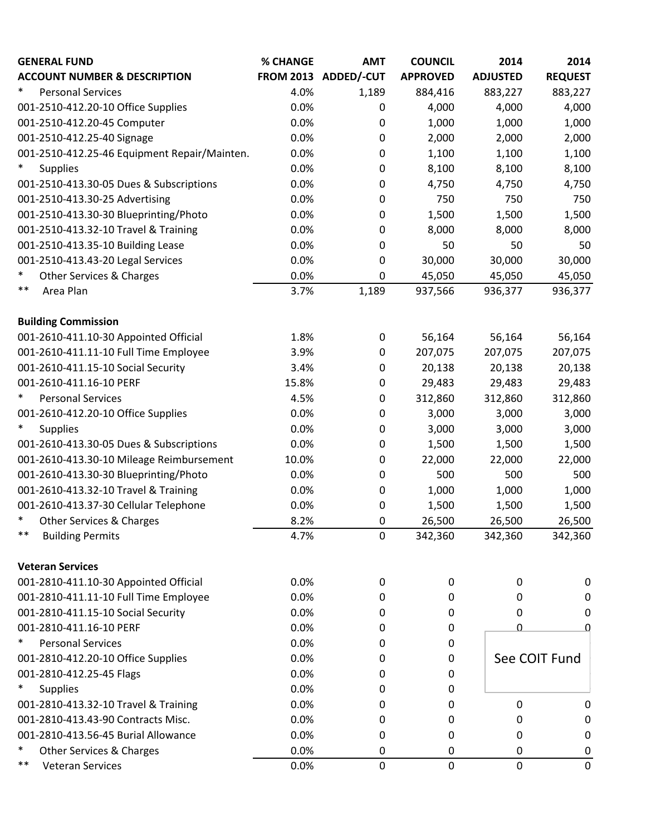| <b>GENERAL FUND</b>                          | % CHANGE | <b>AMT</b>           | <b>COUNCIL</b>  | 2014            | 2014           |
|----------------------------------------------|----------|----------------------|-----------------|-----------------|----------------|
| <b>ACCOUNT NUMBER &amp; DESCRIPTION</b>      |          | FROM 2013 ADDED/-CUT | <b>APPROVED</b> | <b>ADJUSTED</b> | <b>REQUEST</b> |
| $\ast$<br><b>Personal Services</b>           | 4.0%     | 1,189                | 884,416         | 883,227         | 883,227        |
| 001-2510-412.20-10 Office Supplies           | 0.0%     | 0                    | 4,000           | 4,000           | 4,000          |
| 001-2510-412.20-45 Computer                  | 0.0%     | 0                    | 1,000           | 1,000           | 1,000          |
| 001-2510-412.25-40 Signage                   | 0.0%     | 0                    | 2,000           | 2,000           | 2,000          |
| 001-2510-412.25-46 Equipment Repair/Mainten. | 0.0%     | 0                    | 1,100           | 1,100           | 1,100          |
| $\ast$<br><b>Supplies</b>                    | 0.0%     | 0                    | 8,100           | 8,100           | 8,100          |
| 001-2510-413.30-05 Dues & Subscriptions      | 0.0%     | 0                    | 4,750           | 4,750           | 4,750          |
| 001-2510-413.30-25 Advertising               | 0.0%     | 0                    | 750             | 750             | 750            |
| 001-2510-413.30-30 Blueprinting/Photo        | 0.0%     | 0                    | 1,500           | 1,500           | 1,500          |
| 001-2510-413.32-10 Travel & Training         | 0.0%     | 0                    | 8,000           | 8,000           | 8,000          |
| 001-2510-413.35-10 Building Lease            | 0.0%     | 0                    | 50              | 50              | 50             |
| 001-2510-413.43-20 Legal Services            | 0.0%     | 0                    | 30,000          | 30,000          | 30,000         |
| $\ast$<br>Other Services & Charges           | 0.0%     | 0                    | 45,050          | 45,050          | 45,050         |
| $***$<br>Area Plan                           | 3.7%     | 1,189                | 937,566         | 936,377         | 936,377        |
| <b>Building Commission</b>                   |          |                      |                 |                 |                |
| 001-2610-411.10-30 Appointed Official        | 1.8%     | 0                    | 56,164          | 56,164          | 56,164         |
| 001-2610-411.11-10 Full Time Employee        | 3.9%     | 0                    | 207,075         | 207,075         | 207,075        |
| 001-2610-411.15-10 Social Security           | 3.4%     | 0                    | 20,138          | 20,138          | 20,138         |
| 001-2610-411.16-10 PERF                      | 15.8%    | 0                    | 29,483          | 29,483          | 29,483         |
| $\ast$<br><b>Personal Services</b>           | 4.5%     | 0                    | 312,860         | 312,860         | 312,860        |
| 001-2610-412.20-10 Office Supplies           | 0.0%     | 0                    | 3,000           | 3,000           | 3,000          |
| $\ast$<br><b>Supplies</b>                    | 0.0%     | 0                    | 3,000           | 3,000           | 3,000          |
| 001-2610-413.30-05 Dues & Subscriptions      | 0.0%     | 0                    | 1,500           | 1,500           | 1,500          |
| 001-2610-413.30-10 Mileage Reimbursement     | 10.0%    | 0                    | 22,000          | 22,000          | 22,000         |
| 001-2610-413.30-30 Blueprinting/Photo        | 0.0%     | 0                    | 500             | 500             | 500            |
| 001-2610-413.32-10 Travel & Training         | 0.0%     | 0                    | 1,000           | 1,000           | 1,000          |
| 001-2610-413.37-30 Cellular Telephone        | 0.0%     | 0                    | 1,500           | 1,500           | 1,500          |
| $\ast$<br>Other Services & Charges           | 8.2%     | 0                    | 26,500          | 26,500          | 26,500         |
| $***$<br><b>Building Permits</b>             | 4.7%     | 0                    | 342,360         | 342,360         | 342,360        |
| <b>Veteran Services</b>                      |          |                      |                 |                 |                |
| 001-2810-411.10-30 Appointed Official        | 0.0%     | 0                    | 0               | 0               | 0              |
| 001-2810-411.11-10 Full Time Employee        | 0.0%     | 0                    | 0               | 0               | 0              |
| 001-2810-411.15-10 Social Security           | 0.0%     | 0                    | 0               | 0               | 0              |
| 001-2810-411.16-10 PERF                      | 0.0%     | 0                    | 0               | 0               | 0              |
| <b>Personal Services</b><br>$\ast$           | 0.0%     | 0                    | 0               |                 |                |
| 001-2810-412.20-10 Office Supplies           | 0.0%     | 0                    | 0               |                 | See COIT Fund  |
| 001-2810-412.25-45 Flags                     | 0.0%     | 0                    | 0               |                 |                |
| $\ast$<br><b>Supplies</b>                    | 0.0%     | 0                    | 0               |                 |                |
| 001-2810-413.32-10 Travel & Training         | 0.0%     | 0                    | 0               | 0               | 0              |
| 001-2810-413.43-90 Contracts Misc.           | 0.0%     | 0                    | 0               | 0               | 0              |
| 001-2810-413.56-45 Burial Allowance          | 0.0%     | 0                    | 0               | 0               | 0              |
| $\ast$<br>Other Services & Charges           | 0.0%     | 0                    | 0               | 0               | 0              |
| $***$<br><b>Veteran Services</b>             | 0.0%     | 0                    | $\mathbf 0$     | $\mathbf 0$     | $\mathbf 0$    |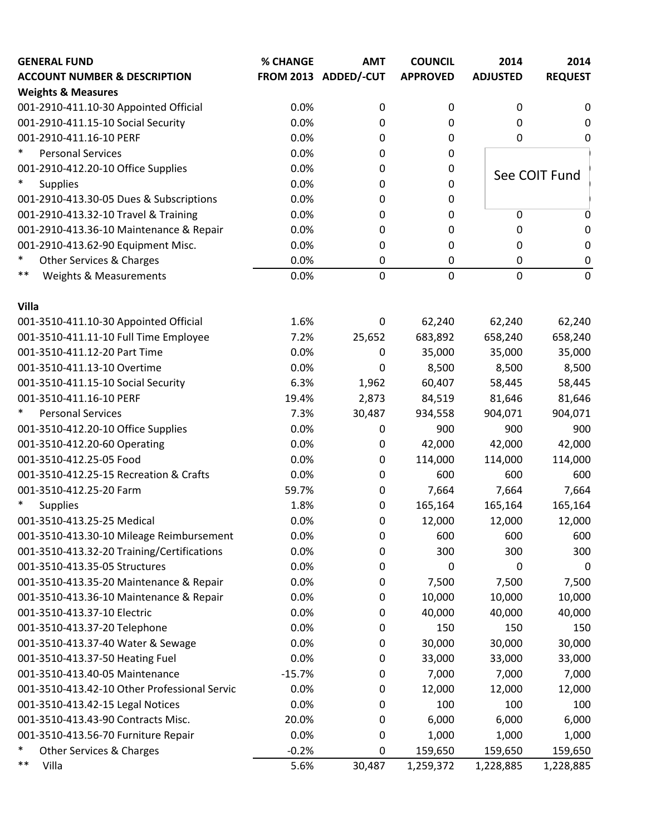| <b>GENERAL FUND</b>                          | % CHANGE | <b>AMT</b>           | <b>COUNCIL</b>  | 2014            | 2014           |
|----------------------------------------------|----------|----------------------|-----------------|-----------------|----------------|
| <b>ACCOUNT NUMBER &amp; DESCRIPTION</b>      |          | FROM 2013 ADDED/-CUT | <b>APPROVED</b> | <b>ADJUSTED</b> | <b>REQUEST</b> |
| <b>Weights &amp; Measures</b>                |          |                      |                 |                 |                |
| 001-2910-411.10-30 Appointed Official        | 0.0%     | $\boldsymbol{0}$     | 0               | 0               | 0              |
| 001-2910-411.15-10 Social Security           | 0.0%     | 0                    | 0               | $\Omega$        | 0              |
| 001-2910-411.16-10 PERF                      | 0.0%     | 0                    | 0               | $\Omega$        | 0              |
| $\ast$<br><b>Personal Services</b>           | 0.0%     | 0                    | $\pmb{0}$       |                 |                |
| 001-2910-412.20-10 Office Supplies           | 0.0%     | 0                    | 0               |                 |                |
| $\ast$<br><b>Supplies</b>                    | 0.0%     | 0                    | 0               |                 | See COIT Fund  |
| 001-2910-413.30-05 Dues & Subscriptions      | 0.0%     | 0                    | 0               |                 |                |
| 001-2910-413.32-10 Travel & Training         | 0.0%     | 0                    | 0               | $\mathbf 0$     | 0              |
| 001-2910-413.36-10 Maintenance & Repair      | 0.0%     | 0                    | 0               | 0               | 0              |
| 001-2910-413.62-90 Equipment Misc.           | 0.0%     | 0                    | 0               | $\Omega$        | 0              |
| *<br><b>Other Services &amp; Charges</b>     | 0.0%     | 0                    | 0               | $\mathbf 0$     | 0              |
| $***$<br><b>Weights &amp; Measurements</b>   | 0.0%     | 0                    | 0               | $\mathbf 0$     | $\mathbf 0$    |
| Villa                                        |          |                      |                 |                 |                |
| 001-3510-411.10-30 Appointed Official        | 1.6%     | $\mathbf 0$          | 62,240          | 62,240          | 62,240         |
| 001-3510-411.11-10 Full Time Employee        | 7.2%     | 25,652               | 683,892         | 658,240         | 658,240        |
| 001-3510-411.12-20 Part Time                 | 0.0%     | 0                    | 35,000          | 35,000          | 35,000         |
| 001-3510-411.13-10 Overtime                  | 0.0%     | 0                    | 8,500           | 8,500           | 8,500          |
| 001-3510-411.15-10 Social Security           | 6.3%     | 1,962                | 60,407          | 58,445          | 58,445         |
| 001-3510-411.16-10 PERF                      | 19.4%    | 2,873                | 84,519          | 81,646          | 81,646         |
| $\ast$<br><b>Personal Services</b>           | 7.3%     | 30,487               | 934,558         | 904,071         | 904,071        |
| 001-3510-412.20-10 Office Supplies           | 0.0%     | 0                    | 900             | 900             | 900            |
| 001-3510-412.20-60 Operating                 | 0.0%     | 0                    | 42,000          | 42,000          | 42,000         |
| 001-3510-412.25-05 Food                      | 0.0%     | 0                    | 114,000         | 114,000         | 114,000        |
| 001-3510-412.25-15 Recreation & Crafts       | 0.0%     | 0                    | 600             | 600             | 600            |
| 001-3510-412.25-20 Farm                      | 59.7%    | 0                    | 7,664           | 7,664           | 7,664          |
| $\ast$<br><b>Supplies</b>                    | 1.8%     | 0                    | 165,164         | 165,164         | 165,164        |
| 001-3510-413.25-25 Medical                   | 0.0%     | 0                    | 12,000          | 12,000          | 12,000         |
| 001-3510-413.30-10 Mileage Reimbursement     | 0.0%     | 0                    | 600             | 600             | 600            |
| 001-3510-413.32-20 Training/Certifications   | 0.0%     | 0                    | 300             | 300             | 300            |
| 001-3510-413.35-05 Structures                | 0.0%     | 0                    | 0               | 0               | 0              |
| 001-3510-413.35-20 Maintenance & Repair      | 0.0%     | 0                    | 7,500           | 7,500           | 7,500          |
| 001-3510-413.36-10 Maintenance & Repair      | 0.0%     | 0                    | 10,000          | 10,000          | 10,000         |
| 001-3510-413.37-10 Electric                  | 0.0%     | 0                    | 40,000          | 40,000          | 40,000         |
| 001-3510-413.37-20 Telephone                 | 0.0%     | 0                    | 150             | 150             | 150            |
| 001-3510-413.37-40 Water & Sewage            | 0.0%     | 0                    | 30,000          | 30,000          | 30,000         |
| 001-3510-413.37-50 Heating Fuel              | 0.0%     | 0                    | 33,000          | 33,000          | 33,000         |
| 001-3510-413.40-05 Maintenance               | $-15.7%$ | 0                    | 7,000           | 7,000           | 7,000          |
| 001-3510-413.42-10 Other Professional Servic | 0.0%     | 0                    | 12,000          | 12,000          | 12,000         |
| 001-3510-413.42-15 Legal Notices             | 0.0%     | 0                    | 100             | 100             | 100            |
| 001-3510-413.43-90 Contracts Misc.           | 20.0%    | 0                    | 6,000           | 6,000           | 6,000          |
| 001-3510-413.56-70 Furniture Repair          | 0.0%     | 0                    | 1,000           | 1,000           | 1,000          |
| $\ast$<br>Other Services & Charges           | $-0.2%$  | 0                    | 159,650         | 159,650         | 159,650        |
| $***$<br>Villa                               | 5.6%     | 30,487               | 1,259,372       | 1,228,885       | 1,228,885      |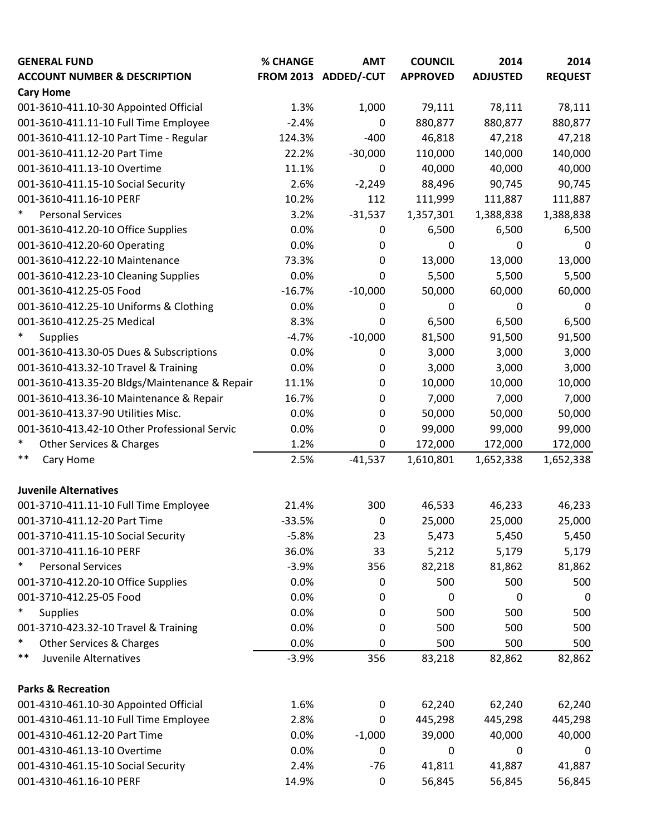| <b>GENERAL FUND</b>                                           | <b>% CHANGE</b> | <b>AMT</b>           | <b>COUNCIL</b>  | 2014            | 2014           |
|---------------------------------------------------------------|-----------------|----------------------|-----------------|-----------------|----------------|
| <b>ACCOUNT NUMBER &amp; DESCRIPTION</b>                       |                 | FROM 2013 ADDED/-CUT | <b>APPROVED</b> | <b>ADJUSTED</b> | <b>REQUEST</b> |
| <b>Cary Home</b>                                              |                 |                      |                 |                 |                |
| 001-3610-411.10-30 Appointed Official                         | 1.3%            | 1,000                | 79,111          | 78,111          | 78,111         |
| 001-3610-411.11-10 Full Time Employee                         | $-2.4%$         | 0                    | 880,877         | 880,877         | 880,877        |
| 001-3610-411.12-10 Part Time - Regular                        | 124.3%          | $-400$               | 46,818          | 47,218          | 47,218         |
| 001-3610-411.12-20 Part Time                                  | 22.2%           | $-30,000$            | 110,000         | 140,000         | 140,000        |
| 001-3610-411.13-10 Overtime                                   | 11.1%           | 0                    | 40,000          | 40,000          | 40,000         |
| 001-3610-411.15-10 Social Security                            | 2.6%            | $-2,249$             | 88,496          | 90,745          | 90,745         |
| 001-3610-411.16-10 PERF                                       | 10.2%           | 112                  | 111,999         | 111,887         | 111,887        |
| $\ast$<br><b>Personal Services</b>                            | 3.2%            | $-31,537$            | 1,357,301       | 1,388,838       | 1,388,838      |
| 001-3610-412.20-10 Office Supplies                            | 0.0%            | 0                    | 6,500           | 6,500           | 6,500          |
| 001-3610-412.20-60 Operating                                  | 0.0%            | 0                    | $\pmb{0}$       | 0               | 0              |
| 001-3610-412.22-10 Maintenance                                | 73.3%           | 0                    | 13,000          | 13,000          | 13,000         |
| 001-3610-412.23-10 Cleaning Supplies                          | 0.0%            | 0                    | 5,500           | 5,500           | 5,500          |
| 001-3610-412.25-05 Food                                       | $-16.7%$        | $-10,000$            | 50,000          | 60,000          | 60,000         |
| 001-3610-412.25-10 Uniforms & Clothing                        | 0.0%            | 0                    | 0               | 0               | 0              |
| 001-3610-412.25-25 Medical                                    | 8.3%            | 0                    | 6,500           | 6,500           | 6,500          |
| $\ast$<br><b>Supplies</b>                                     | $-4.7%$         | $-10,000$            | 81,500          | 91,500          | 91,500         |
| 001-3610-413.30-05 Dues & Subscriptions                       | 0.0%            | 0                    | 3,000           | 3,000           | 3,000          |
| 001-3610-413.32-10 Travel & Training                          | 0.0%            | 0                    | 3,000           | 3,000           | 3,000          |
| 001-3610-413.35-20 Bldgs/Maintenance & Repair                 | 11.1%           | 0                    | 10,000          | 10,000          | 10,000         |
| 001-3610-413.36-10 Maintenance & Repair                       | 16.7%           | 0                    | 7,000           | 7,000           | 7,000          |
| 001-3610-413.37-90 Utilities Misc.                            | 0.0%            | 0                    | 50,000          | 50,000          | 50,000         |
| 001-3610-413.42-10 Other Professional Servic                  | 0.0%            | 0                    | 99,000          | 99,000          | 99,000         |
| *<br>Other Services & Charges                                 | 1.2%            | 0                    | 172,000         | 172,000         | 172,000        |
| $***$<br>Cary Home                                            | 2.5%            | $-41,537$            | 1,610,801       | 1,652,338       | 1,652,338      |
| <b>Juvenile Alternatives</b>                                  |                 |                      |                 |                 |                |
| 001-3710-411.11-10 Full Time Employee                         | 21.4%           | 300                  | 46,533          | 46,233          | 46,233         |
| 001-3710-411.12-20 Part Time                                  | $-33.5%$        | 0                    | 25,000          | 25,000          | 25,000         |
| 001-3710-411.15-10 Social Security                            | $-5.8%$         | 23                   | 5,473           | 5,450           | 5,450          |
| 001-3710-411.16-10 PERF                                       | 36.0%           | 33                   | 5,212           | 5,179           | 5,179          |
| *<br><b>Personal Services</b>                                 | $-3.9%$         | 356                  | 82,218          | 81,862          | 81,862         |
| 001-3710-412.20-10 Office Supplies                            | 0.0%            | 0                    | 500             | 500             | 500            |
| 001-3710-412.25-05 Food                                       | 0.0%            | 0                    | 0               | 0               | 0              |
| $\ast$<br><b>Supplies</b>                                     | 0.0%            | 0                    | 500             | 500             | 500            |
| 001-3710-423.32-10 Travel & Training                          | 0.0%            | 0                    | 500             | 500             | 500            |
| *<br>Other Services & Charges                                 | 0.0%            | 0                    | 500             | 500             | 500            |
| **<br>Juvenile Alternatives                                   | $-3.9%$         | 356                  | 83,218          | 82,862          | 82,862         |
| <b>Parks &amp; Recreation</b>                                 |                 |                      |                 |                 |                |
| 001-4310-461.10-30 Appointed Official                         | 1.6%            | 0                    | 62,240          | 62,240          | 62,240         |
| 001-4310-461.11-10 Full Time Employee                         | 2.8%            | 0                    | 445,298         | 445,298         | 445,298        |
| 001-4310-461.12-20 Part Time                                  | 0.0%            | $-1,000$             | 39,000          | 40,000          | 40,000         |
| 001-4310-461.13-10 Overtime                                   | 0.0%            |                      | $\mathbf 0$     | 0               |                |
|                                                               |                 | 0<br>$-76$           |                 |                 | 0              |
| 001-4310-461.15-10 Social Security<br>001-4310-461.16-10 PERF | 2.4%            |                      | 41,811          | 41,887          | 41,887         |
|                                                               | 14.9%           | 0                    | 56,845          | 56,845          | 56,845         |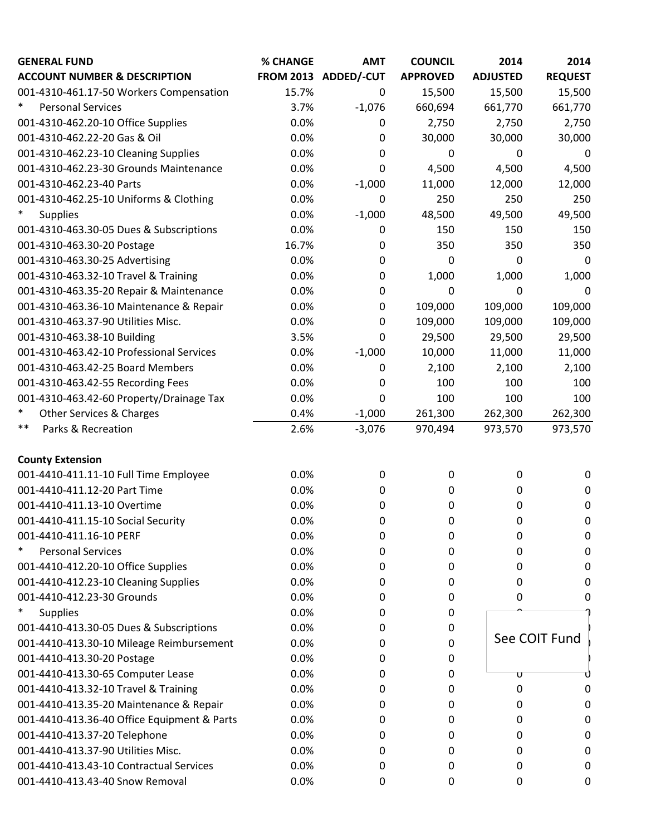| <b>GENERAL FUND</b>                         | % CHANGE | <b>AMT</b>           | <b>COUNCIL</b>  | 2014                    | 2014           |
|---------------------------------------------|----------|----------------------|-----------------|-------------------------|----------------|
| <b>ACCOUNT NUMBER &amp; DESCRIPTION</b>     |          | FROM 2013 ADDED/-CUT | <b>APPROVED</b> | <b>ADJUSTED</b>         | <b>REQUEST</b> |
| 001-4310-461.17-50 Workers Compensation     | 15.7%    | 0                    | 15,500          | 15,500                  | 15,500         |
| $\ast$<br><b>Personal Services</b>          | 3.7%     | $-1,076$             | 660,694         | 661,770                 | 661,770        |
| 001-4310-462.20-10 Office Supplies          | 0.0%     | 0                    | 2,750           | 2,750                   | 2,750          |
| 001-4310-462.22-20 Gas & Oil                | 0.0%     | 0                    | 30,000          | 30,000                  | 30,000         |
| 001-4310-462.23-10 Cleaning Supplies        | 0.0%     | 0                    | 0               | 0                       | 0              |
| 001-4310-462.23-30 Grounds Maintenance      | 0.0%     | 0                    | 4,500           | 4,500                   | 4,500          |
| 001-4310-462.23-40 Parts                    | 0.0%     | $-1,000$             | 11,000          | 12,000                  | 12,000         |
| 001-4310-462.25-10 Uniforms & Clothing      | 0.0%     | 0                    | 250             | 250                     | 250            |
| $\ast$<br><b>Supplies</b>                   | 0.0%     | $-1,000$             | 48,500          | 49,500                  | 49,500         |
| 001-4310-463.30-05 Dues & Subscriptions     | 0.0%     | 0                    | 150             | 150                     | 150            |
| 001-4310-463.30-20 Postage                  | 16.7%    | 0                    | 350             | 350                     | 350            |
| 001-4310-463.30-25 Advertising              | 0.0%     | 0                    | 0               | 0                       | $\Omega$       |
| 001-4310-463.32-10 Travel & Training        | 0.0%     | 0                    | 1,000           | 1,000                   | 1,000          |
| 001-4310-463.35-20 Repair & Maintenance     | 0.0%     | 0                    | 0               | 0                       | $\mathbf 0$    |
| 001-4310-463.36-10 Maintenance & Repair     | 0.0%     | 0                    | 109,000         | 109,000                 | 109,000        |
| 001-4310-463.37-90 Utilities Misc.          | 0.0%     | 0                    | 109,000         | 109,000                 | 109,000        |
| 001-4310-463.38-10 Building                 | 3.5%     | 0                    | 29,500          | 29,500                  | 29,500         |
| 001-4310-463.42-10 Professional Services    | 0.0%     | $-1,000$             | 10,000          | 11,000                  | 11,000         |
| 001-4310-463.42-25 Board Members            | 0.0%     | 0                    | 2,100           | 2,100                   | 2,100          |
| 001-4310-463.42-55 Recording Fees           | 0.0%     | 0                    | 100             | 100                     | 100            |
| 001-4310-463.42-60 Property/Drainage Tax    | 0.0%     | 0                    | 100             | 100                     | 100            |
| $\ast$<br>Other Services & Charges          | 0.4%     | $-1,000$             | 261,300         | 262,300                 | 262,300        |
| $***$<br>Parks & Recreation                 | 2.6%     | $-3,076$             | 970,494         | 973,570                 | 973,570        |
| <b>County Extension</b>                     |          |                      |                 |                         |                |
| 001-4410-411.11-10 Full Time Employee       | 0.0%     | 0                    | $\pmb{0}$       | $\mathbf 0$             | $\mathbf 0$    |
| 001-4410-411.12-20 Part Time                | 0.0%     | 0                    | 0               | 0                       | 0              |
| 001-4410-411.13-10 Overtime                 | 0.0%     | 0                    | 0               | 0                       | $\mathbf 0$    |
| 001-4410-411.15-10 Social Security          | 0.0%     | 0                    | 0               | 0                       | 0              |
| 001-4410-411.16-10 PERF                     | 0.0%     | 0                    | 0               | 0                       | 0              |
| $\ast$<br><b>Personal Services</b>          | 0.0%     | 0                    | 0               | 0                       | 0              |
| 001-4410-412.20-10 Office Supplies          | 0.0%     | 0                    | 0               | 0                       | O              |
| 001-4410-412.23-10 Cleaning Supplies        | 0.0%     | 0                    | 0               | 0                       |                |
| 001-4410-412.23-30 Grounds                  | 0.0%     | 0                    | 0               | 0                       |                |
| $\ast$<br><b>Supplies</b>                   | 0.0%     | 0                    | 0               |                         |                |
| 001-4410-413.30-05 Dues & Subscriptions     | 0.0%     | 0                    | 0               |                         |                |
| 001-4410-413.30-10 Mileage Reimbursement    | 0.0%     | 0                    | 0               |                         | See COIT Fund  |
| 001-4410-413.30-20 Postage                  | 0.0%     | 0                    | 0               |                         |                |
| 001-4410-413.30-65 Computer Lease           | 0.0%     | 0                    | 0               | $\overline{\mathtt{U}}$ |                |
| 001-4410-413.32-10 Travel & Training        | 0.0%     | 0                    | 0               | 0                       |                |
| 001-4410-413.35-20 Maintenance & Repair     | 0.0%     | 0                    | 0               | 0                       | O              |
| 001-4410-413.36-40 Office Equipment & Parts | 0.0%     | 0                    | 0               | 0                       | 0              |
| 001-4410-413.37-20 Telephone                | 0.0%     | 0                    | 0               | 0                       | 0              |
| 001-4410-413.37-90 Utilities Misc.          | 0.0%     | 0                    | 0               | 0                       | 0              |
| 001-4410-413.43-10 Contractual Services     | 0.0%     | 0                    | 0               | 0                       | 0              |
| 001-4410-413.43-40 Snow Removal             | 0.0%     | 0                    | 0               | 0                       | 0              |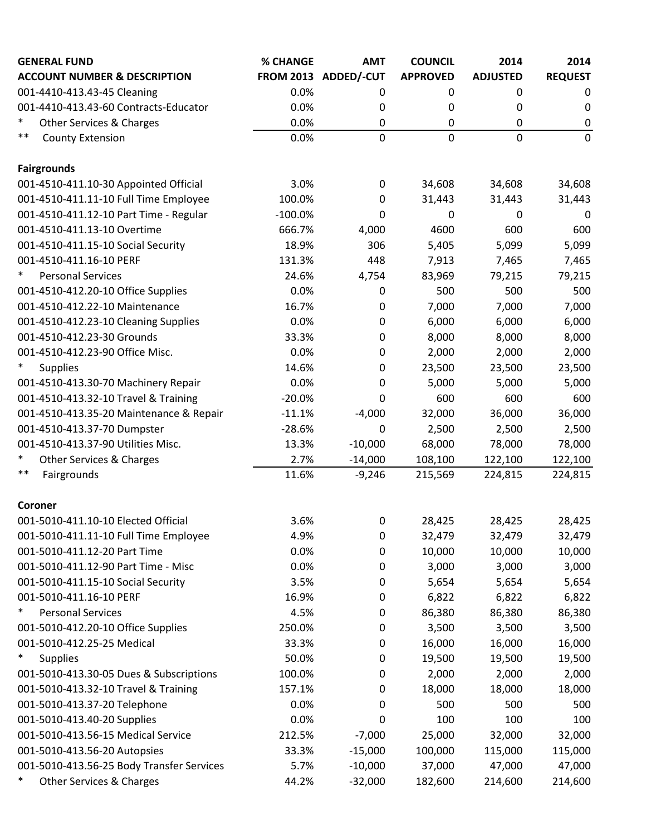| <b>GENERAL FUND</b>                           | % CHANGE         | <b>AMT</b>       | <b>COUNCIL</b>  | 2014            | 2014             |
|-----------------------------------------------|------------------|------------------|-----------------|-----------------|------------------|
| <b>ACCOUNT NUMBER &amp; DESCRIPTION</b>       | <b>FROM 2013</b> | ADDED/-CUT       | <b>APPROVED</b> | <b>ADJUSTED</b> | <b>REQUEST</b>   |
| 001-4410-413.43-45 Cleaning                   | 0.0%             | 0                | 0               | 0               | 0                |
| 001-4410-413.43-60 Contracts-Educator         | 0.0%             | 0                | 0               | 0               | 0                |
| $\ast$<br><b>Other Services &amp; Charges</b> | 0.0%             | 0                | 0               | 0               | $\boldsymbol{0}$ |
| $***$<br><b>County Extension</b>              | 0.0%             | $\mathbf 0$      | 0               | $\mathbf{0}$    | $\mathbf 0$      |
| <b>Fairgrounds</b>                            |                  |                  |                 |                 |                  |
| 001-4510-411.10-30 Appointed Official         | 3.0%             | $\mathbf 0$      | 34,608          | 34,608          | 34,608           |
| 001-4510-411.11-10 Full Time Employee         | 100.0%           | 0                | 31,443          | 31,443          | 31,443           |
| 001-4510-411.12-10 Part Time - Regular        | $-100.0%$        | 0                | 0               | 0               | 0                |
| 001-4510-411.13-10 Overtime                   | 666.7%           | 4,000            | 4600            | 600             | 600              |
| 001-4510-411.15-10 Social Security            | 18.9%            | 306              | 5,405           | 5,099           | 5,099            |
| 001-4510-411.16-10 PERF                       | 131.3%           | 448              | 7,913           | 7,465           | 7,465            |
| $\ast$<br><b>Personal Services</b>            | 24.6%            | 4,754            | 83,969          | 79,215          | 79,215           |
| 001-4510-412.20-10 Office Supplies            | 0.0%             | $\mathbf 0$      | 500             | 500             | 500              |
| 001-4510-412.22-10 Maintenance                | 16.7%            | 0                | 7,000           | 7,000           | 7,000            |
| 001-4510-412.23-10 Cleaning Supplies          | 0.0%             | $\boldsymbol{0}$ | 6,000           | 6,000           | 6,000            |
| 001-4510-412.23-30 Grounds                    | 33.3%            | 0                | 8,000           | 8,000           | 8,000            |
| 001-4510-412.23-90 Office Misc.               | 0.0%             | 0                | 2,000           | 2,000           | 2,000            |
| $\ast$<br><b>Supplies</b>                     | 14.6%            | $\boldsymbol{0}$ | 23,500          | 23,500          | 23,500           |
| 001-4510-413.30-70 Machinery Repair           | 0.0%             | 0                | 5,000           | 5,000           | 5,000            |
| 001-4510-413.32-10 Travel & Training          | $-20.0%$         | $\Omega$         | 600             | 600             | 600              |
| 001-4510-413.35-20 Maintenance & Repair       | $-11.1%$         | $-4,000$         | 32,000          | 36,000          | 36,000           |
| 001-4510-413.37-70 Dumpster                   | $-28.6%$         | 0                | 2,500           | 2,500           | 2,500            |
| 001-4510-413.37-90 Utilities Misc.            | 13.3%            | $-10,000$        | 68,000          | 78,000          | 78,000           |
| $\ast$<br>Other Services & Charges            | 2.7%             | $-14,000$        | 108,100         | 122,100         | 122,100          |
| $***$<br>Fairgrounds                          | 11.6%            | $-9,246$         | 215,569         | 224,815         | 224,815          |
| Coroner                                       |                  |                  |                 |                 |                  |
| 001-5010-411.10-10 Elected Official           | 3.6%             | 0                | 28,425          | 28,425          | 28,425           |
| 001-5010-411.11-10 Full Time Employee         | 4.9%             | 0                | 32,479          | 32,479          | 32,479           |
| 001-5010-411.12-20 Part Time                  | 0.0%             | $\boldsymbol{0}$ | 10,000          | 10,000          | 10,000           |
| 001-5010-411.12-90 Part Time - Misc           | 0.0%             | 0                | 3,000           | 3,000           | 3,000            |
| 001-5010-411.15-10 Social Security            | 3.5%             | 0                | 5,654           | 5,654           | 5,654            |
| 001-5010-411.16-10 PERF                       | 16.9%            | 0                | 6,822           | 6,822           | 6,822            |
| $\ast$<br><b>Personal Services</b>            | 4.5%             | $\boldsymbol{0}$ | 86,380          | 86,380          | 86,380           |
| 001-5010-412.20-10 Office Supplies            | 250.0%           | 0                | 3,500           | 3,500           | 3,500            |
| 001-5010-412.25-25 Medical                    | 33.3%            | 0                | 16,000          | 16,000          | 16,000           |
| $\ast$<br><b>Supplies</b>                     | 50.0%            | 0                | 19,500          | 19,500          | 19,500           |
| 001-5010-413.30-05 Dues & Subscriptions       | 100.0%           | 0                | 2,000           | 2,000           | 2,000            |
| 001-5010-413.32-10 Travel & Training          | 157.1%           | $\boldsymbol{0}$ | 18,000          | 18,000          | 18,000           |
| 001-5010-413.37-20 Telephone                  | 0.0%             | 0                | 500             | 500             | 500              |
| 001-5010-413.40-20 Supplies                   | 0.0%             | 0                | 100             | 100             | 100              |
| 001-5010-413.56-15 Medical Service            | 212.5%           | $-7,000$         | 25,000          | 32,000          | 32,000           |
| 001-5010-413.56-20 Autopsies                  | 33.3%            | $-15,000$        | 100,000         | 115,000         | 115,000          |
| 001-5010-413.56-25 Body Transfer Services     | 5.7%             | $-10,000$        | 37,000          | 47,000          | 47,000           |
| $\ast$<br>Other Services & Charges            | 44.2%            | $-32,000$        | 182,600         | 214,600         | 214,600          |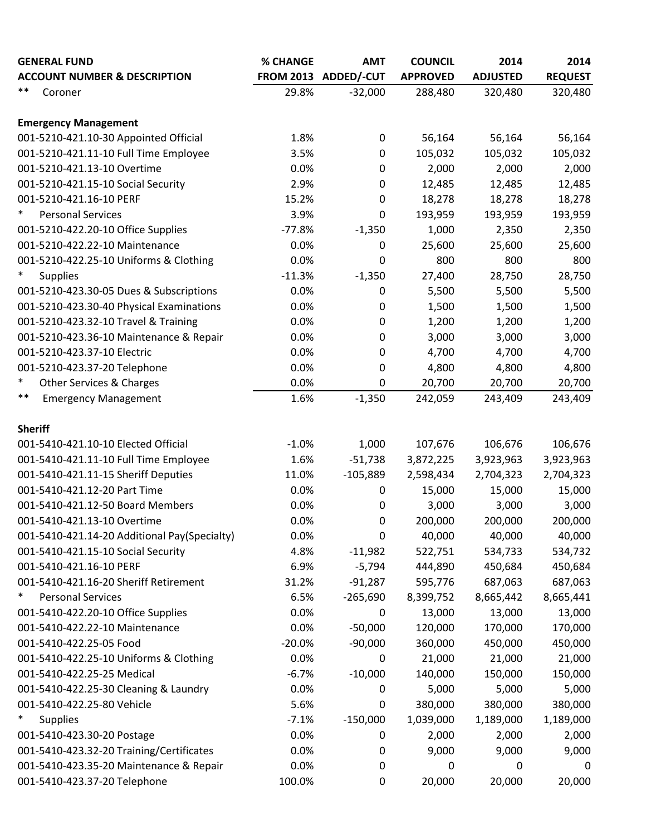| <b>GENERAL FUND</b>                          | % CHANGE | <b>AMT</b>           | <b>COUNCIL</b>   | 2014            | 2014           |
|----------------------------------------------|----------|----------------------|------------------|-----------------|----------------|
| <b>ACCOUNT NUMBER &amp; DESCRIPTION</b>      |          | FROM 2013 ADDED/-CUT | <b>APPROVED</b>  | <b>ADJUSTED</b> | <b>REQUEST</b> |
| $***$<br>Coroner                             | 29.8%    | $-32,000$            | 288,480          | 320,480         | 320,480        |
| <b>Emergency Management</b>                  |          |                      |                  |                 |                |
| 001-5210-421.10-30 Appointed Official        | 1.8%     | $\mathbf 0$          | 56,164           | 56,164          | 56,164         |
| 001-5210-421.11-10 Full Time Employee        | 3.5%     | $\pmb{0}$            | 105,032          | 105,032         | 105,032        |
| 001-5210-421.13-10 Overtime                  | 0.0%     | $\mathbf 0$          | 2,000            | 2,000           | 2,000          |
| 001-5210-421.15-10 Social Security           | 2.9%     | $\mathbf 0$          | 12,485           | 12,485          | 12,485         |
| 001-5210-421.16-10 PERF                      | 15.2%    | 0                    | 18,278           | 18,278          | 18,278         |
| $\ast$<br><b>Personal Services</b>           | 3.9%     | 0                    | 193,959          | 193,959         | 193,959        |
| 001-5210-422.20-10 Office Supplies           | $-77.8%$ | $-1,350$             | 1,000            | 2,350           | 2,350          |
| 001-5210-422.22-10 Maintenance               | 0.0%     | $\mathbf 0$          | 25,600           | 25,600          | 25,600         |
| 001-5210-422.25-10 Uniforms & Clothing       | 0.0%     | 0                    | 800              | 800             | 800            |
| $\ast$<br><b>Supplies</b>                    | $-11.3%$ | $-1,350$             | 27,400           | 28,750          | 28,750         |
| 001-5210-423.30-05 Dues & Subscriptions      | 0.0%     | 0                    | 5,500            | 5,500           | 5,500          |
| 001-5210-423.30-40 Physical Examinations     | 0.0%     | $\mathbf 0$          | 1,500            | 1,500           | 1,500          |
| 001-5210-423.32-10 Travel & Training         | 0.0%     | 0                    | 1,200            | 1,200           | 1,200          |
| 001-5210-423.36-10 Maintenance & Repair      | 0.0%     | 0                    | 3,000            | 3,000           | 3,000          |
| 001-5210-423.37-10 Electric                  | 0.0%     | 0                    | 4,700            | 4,700           | 4,700          |
| 001-5210-423.37-20 Telephone                 | 0.0%     | $\mathbf 0$          | 4,800            | 4,800           | 4,800          |
| $\ast$<br>Other Services & Charges           | 0.0%     | 0                    | 20,700           | 20,700          | 20,700         |
| $***$<br><b>Emergency Management</b>         | 1.6%     | $-1,350$             | 242,059          | 243,409         | 243,409        |
| <b>Sheriff</b>                               |          |                      |                  |                 |                |
| 001-5410-421.10-10 Elected Official          | $-1.0%$  | 1,000                | 107,676          | 106,676         | 106,676        |
| 001-5410-421.11-10 Full Time Employee        | 1.6%     | $-51,738$            | 3,872,225        | 3,923,963       | 3,923,963      |
| 001-5410-421.11-15 Sheriff Deputies          | 11.0%    | $-105,889$           | 2,598,434        | 2,704,323       | 2,704,323      |
| 001-5410-421.12-20 Part Time                 | 0.0%     | 0                    | 15,000           | 15,000          | 15,000         |
| 001-5410-421.12-50 Board Members             | 0.0%     | $\mathbf 0$          | 3,000            | 3,000           | 3,000          |
| 001-5410-421.13-10 Overtime                  | 0.0%     | 0                    | 200,000          | 200,000         | 200,000        |
| 001-5410-421.14-20 Additional Pay(Specialty) | 0.0%     | $\mathbf 0$          | 40,000           | 40,000          | 40,000         |
| 001-5410-421.15-10 Social Security           | 4.8%     | $-11,982$            | 522,751          | 534,733         | 534,732        |
| 001-5410-421.16-10 PERF                      | 6.9%     | $-5,794$             | 444,890          | 450,684         | 450,684        |
| 001-5410-421.16-20 Sheriff Retirement        | 31.2%    | $-91,287$            | 595,776          | 687,063         | 687,063        |
| $\ast$<br><b>Personal Services</b>           | 6.5%     | $-265,690$           | 8,399,752        | 8,665,442       | 8,665,441      |
| 001-5410-422.20-10 Office Supplies           | 0.0%     | $\mathbf 0$          | 13,000           | 13,000          | 13,000         |
| 001-5410-422.22-10 Maintenance               | 0.0%     | $-50,000$            | 120,000          | 170,000         | 170,000        |
| 001-5410-422.25-05 Food                      | $-20.0%$ | $-90,000$            | 360,000          | 450,000         | 450,000        |
| 001-5410-422.25-10 Uniforms & Clothing       | 0.0%     | $\mathbf 0$          | 21,000           | 21,000          | 21,000         |
| 001-5410-422.25-25 Medical                   | $-6.7%$  | $-10,000$            | 140,000          | 150,000         | 150,000        |
| 001-5410-422.25-30 Cleaning & Laundry        | 0.0%     | 0                    | 5,000            | 5,000           | 5,000          |
| 001-5410-422.25-80 Vehicle                   | 5.6%     | 0                    | 380,000          | 380,000         | 380,000        |
| $\ast$<br><b>Supplies</b>                    | $-7.1%$  | $-150,000$           | 1,039,000        | 1,189,000       | 1,189,000      |
| 001-5410-423.30-20 Postage                   | 0.0%     | 0                    | 2,000            | 2,000           | 2,000          |
| 001-5410-423.32-20 Training/Certificates     | 0.0%     | 0                    | 9,000            | 9,000           | 9,000          |
| 001-5410-423.35-20 Maintenance & Repair      | 0.0%     | 0                    | $\boldsymbol{0}$ | $\mathbf 0$     | 0              |
| 001-5410-423.37-20 Telephone                 | 100.0%   | 0                    | 20,000           | 20,000          | 20,000         |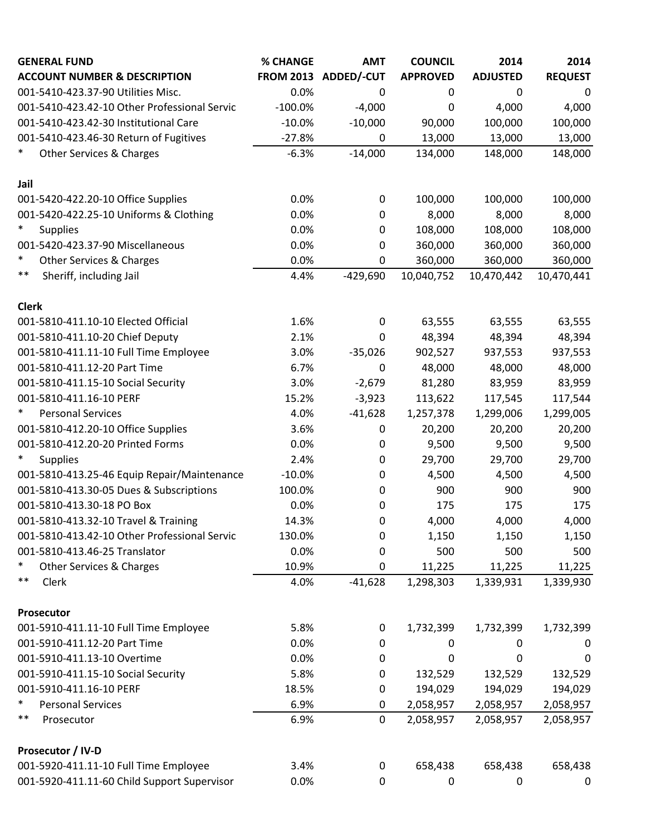| <b>GENERAL FUND</b>                           | % CHANGE         | <b>AMT</b>       | <b>COUNCIL</b>  | 2014            | 2014           |
|-----------------------------------------------|------------------|------------------|-----------------|-----------------|----------------|
| <b>ACCOUNT NUMBER &amp; DESCRIPTION</b>       | <b>FROM 2013</b> | ADDED/-CUT       | <b>APPROVED</b> | <b>ADJUSTED</b> | <b>REQUEST</b> |
| 001-5410-423.37-90 Utilities Misc.            | 0.0%             | 0                | 0               | 0               | 0              |
| 001-5410-423.42-10 Other Professional Servic  | $-100.0%$        | $-4,000$         | 0               | 4,000           | 4,000          |
| 001-5410-423.42-30 Institutional Care         | $-10.0%$         | $-10,000$        | 90,000          | 100,000         | 100,000        |
| 001-5410-423.46-30 Return of Fugitives        | $-27.8%$         | $\mathbf 0$      | 13,000          | 13,000          | 13,000         |
| $\ast$<br><b>Other Services &amp; Charges</b> | $-6.3%$          | $-14,000$        | 134,000         | 148,000         | 148,000        |
| Jail                                          |                  |                  |                 |                 |                |
| 001-5420-422.20-10 Office Supplies            | 0.0%             | 0                | 100,000         | 100,000         | 100,000        |
| 001-5420-422.25-10 Uniforms & Clothing        | 0.0%             | 0                | 8,000           | 8,000           | 8,000          |
| $\ast$<br><b>Supplies</b>                     | 0.0%             | 0                | 108,000         | 108,000         | 108,000        |
| 001-5420-423.37-90 Miscellaneous              | 0.0%             | 0                | 360,000         | 360,000         | 360,000        |
| $\ast$<br><b>Other Services &amp; Charges</b> | 0.0%             | 0                | 360,000         | 360,000         | 360,000        |
| $***$<br>Sheriff, including Jail              | 4.4%             | $-429,690$       | 10,040,752      | 10,470,442      | 10,470,441     |
| <b>Clerk</b>                                  |                  |                  |                 |                 |                |
| 001-5810-411.10-10 Elected Official           | 1.6%             | $\mathbf 0$      | 63,555          | 63,555          | 63,555         |
| 001-5810-411.10-20 Chief Deputy               | 2.1%             | 0                | 48,394          | 48,394          | 48,394         |
| 001-5810-411.11-10 Full Time Employee         | 3.0%             | $-35,026$        | 902,527         | 937,553         | 937,553        |
| 001-5810-411.12-20 Part Time                  | 6.7%             | $\mathbf 0$      | 48,000          | 48,000          | 48,000         |
| 001-5810-411.15-10 Social Security            | 3.0%             | $-2,679$         | 81,280          | 83,959          | 83,959         |
| 001-5810-411.16-10 PERF                       | 15.2%            | $-3,923$         | 113,622         | 117,545         | 117,544        |
| $\ast$<br><b>Personal Services</b>            | 4.0%             | $-41,628$        | 1,257,378       | 1,299,006       | 1,299,005      |
| 001-5810-412.20-10 Office Supplies            | 3.6%             | 0                | 20,200          | 20,200          | 20,200         |
| 001-5810-412.20-20 Printed Forms              | 0.0%             | 0                | 9,500           | 9,500           | 9,500          |
| $\ast$<br><b>Supplies</b>                     | 2.4%             | 0                | 29,700          | 29,700          | 29,700         |
| 001-5810-413.25-46 Equip Repair/Maintenance   | $-10.0%$         | 0                | 4,500           | 4,500           | 4,500          |
| 001-5810-413.30-05 Dues & Subscriptions       | 100.0%           | 0                | 900             | 900             | 900            |
| 001-5810-413.30-18 PO Box                     | 0.0%             | 0                | 175             | 175             | 175            |
| 001-5810-413.32-10 Travel & Training          | 14.3%            | 0                | 4,000           | 4,000           | 4,000          |
| 001-5810-413.42-10 Other Professional Servic  | 130.0%           | 0                | 1,150           | 1,150           | 1,150          |
| 001-5810-413.46-25 Translator                 | 0.0%             | 0                | 500             | 500             | 500            |
| $\ast$<br>Other Services & Charges            | 10.9%            | 0                | 11,225          | 11,225          | 11,225         |
| $***$<br>Clerk                                | 4.0%             | $-41,628$        | 1,298,303       | 1,339,931       | 1,339,930      |
| Prosecutor                                    |                  |                  |                 |                 |                |
| 001-5910-411.11-10 Full Time Employee         | 5.8%             | $\boldsymbol{0}$ | 1,732,399       | 1,732,399       | 1,732,399      |
| 001-5910-411.12-20 Part Time                  | 0.0%             | 0                | 0               | 0               | 0              |
| 001-5910-411.13-10 Overtime                   | 0.0%             | 0                | 0               | 0               | 0              |
| 001-5910-411.15-10 Social Security            | 5.8%             | 0                | 132,529         | 132,529         | 132,529        |
| 001-5910-411.16-10 PERF                       | 18.5%            | $\pmb{0}$        | 194,029         | 194,029         | 194,029        |
| $\ast$<br><b>Personal Services</b>            | 6.9%             | 0                | 2,058,957       | 2,058,957       | 2,058,957      |
| $***$<br>Prosecutor                           | 6.9%             | $\mathbf 0$      | 2,058,957       | 2,058,957       | 2,058,957      |
| Prosecutor / IV-D                             |                  |                  |                 |                 |                |
| 001-5920-411.11-10 Full Time Employee         | 3.4%             | $\pmb{0}$        | 658,438         | 658,438         | 658,438        |
| 001-5920-411.11-60 Child Support Supervisor   | 0.0%             | 0                | 0               | 0               | 0              |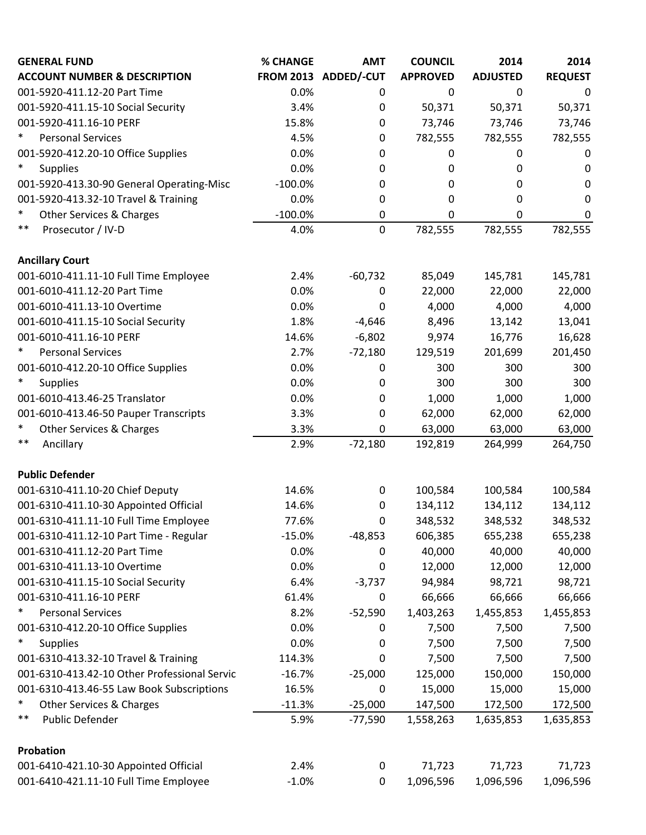| <b>GENERAL FUND</b>                           | % CHANGE  | <b>AMT</b>           | <b>COUNCIL</b>  | 2014            | 2014           |
|-----------------------------------------------|-----------|----------------------|-----------------|-----------------|----------------|
| <b>ACCOUNT NUMBER &amp; DESCRIPTION</b>       |           | FROM 2013 ADDED/-CUT | <b>APPROVED</b> | <b>ADJUSTED</b> | <b>REQUEST</b> |
| 001-5920-411.12-20 Part Time                  | 0.0%      | 0                    | $\pmb{0}$       | 0               | 0              |
| 001-5920-411.15-10 Social Security            | 3.4%      | 0                    | 50,371          | 50,371          | 50,371         |
| 001-5920-411.16-10 PERF                       | 15.8%     | $\pmb{0}$            | 73,746          | 73,746          | 73,746         |
| $\ast$<br><b>Personal Services</b>            | 4.5%      | 0                    | 782,555         | 782,555         | 782,555        |
| 001-5920-412.20-10 Office Supplies            | 0.0%      | 0                    | 0               | 0               | 0              |
| $\ast$<br><b>Supplies</b>                     | 0.0%      | 0                    | 0               | 0               | 0              |
| 001-5920-413.30-90 General Operating-Misc     | $-100.0%$ | 0                    | 0               | 0               | 0              |
| 001-5920-413.32-10 Travel & Training          | 0.0%      | 0                    | 0               | 0               | 0              |
| $\ast$<br><b>Other Services &amp; Charges</b> | $-100.0%$ | 0                    | $\pmb{0}$       | 0               | $\pmb{0}$      |
| $***$<br>Prosecutor / IV-D                    | 4.0%      | $\pmb{0}$            | 782,555         | 782,555         | 782,555        |
| <b>Ancillary Court</b>                        |           |                      |                 |                 |                |
| 001-6010-411.11-10 Full Time Employee         | 2.4%      | $-60,732$            | 85,049          | 145,781         | 145,781        |
| 001-6010-411.12-20 Part Time                  | 0.0%      | $\mathbf 0$          | 22,000          | 22,000          | 22,000         |
| 001-6010-411.13-10 Overtime                   | 0.0%      | $\mathbf 0$          | 4,000           | 4,000           | 4,000          |
| 001-6010-411.15-10 Social Security            | 1.8%      | $-4,646$             | 8,496           | 13,142          | 13,041         |
| 001-6010-411.16-10 PERF                       | 14.6%     | $-6,802$             | 9,974           | 16,776          | 16,628         |
| $\ast$<br><b>Personal Services</b>            | 2.7%      | $-72,180$            | 129,519         | 201,699         | 201,450        |
| 001-6010-412.20-10 Office Supplies            | 0.0%      | 0                    | 300             | 300             | 300            |
| *<br><b>Supplies</b>                          | 0.0%      | 0                    | 300             | 300             | 300            |
| 001-6010-413.46-25 Translator                 | 0.0%      | 0                    | 1,000           | 1,000           | 1,000          |
| 001-6010-413.46-50 Pauper Transcripts         | 3.3%      | 0                    | 62,000          | 62,000          | 62,000         |
| $\ast$<br><b>Other Services &amp; Charges</b> | 3.3%      | 0                    | 63,000          | 63,000          | 63,000         |
| $***$<br>Ancillary                            | 2.9%      | $-72,180$            | 192,819         | 264,999         | 264,750        |
| <b>Public Defender</b>                        |           |                      |                 |                 |                |
| 001-6310-411.10-20 Chief Deputy               | 14.6%     | 0                    | 100,584         | 100,584         | 100,584        |
| 001-6310-411.10-30 Appointed Official         | 14.6%     | $\mathbf 0$          | 134,112         | 134,112         | 134,112        |
| 001-6310-411.11-10 Full Time Employee         | 77.6%     | 0                    | 348,532         | 348,532         | 348,532        |
| 001-6310-411.12-10 Part Time - Regular        | $-15.0%$  | $-48,853$            | 606,385         | 655,238         | 655,238        |
| 001-6310-411.12-20 Part Time                  | 0.0%      | 0                    | 40,000          | 40,000          | 40,000         |
| 001-6310-411.13-10 Overtime                   | 0.0%      | $\mathbf 0$          | 12,000          | 12,000          | 12,000         |
| 001-6310-411.15-10 Social Security            | 6.4%      | $-3,737$             | 94,984          | 98,721          | 98,721         |
| 001-6310-411.16-10 PERF                       | 61.4%     | $\mathbf 0$          | 66,666          | 66,666          | 66,666         |
| $\ast$<br><b>Personal Services</b>            | 8.2%      | $-52,590$            | 1,403,263       | 1,455,853       | 1,455,853      |
| 001-6310-412.20-10 Office Supplies            | 0.0%      | 0                    | 7,500           | 7,500           | 7,500          |
| $\ast$<br><b>Supplies</b>                     | 0.0%      | 0                    | 7,500           | 7,500           | 7,500          |
| 001-6310-413.32-10 Travel & Training          | 114.3%    | 0                    | 7,500           | 7,500           | 7,500          |
| 001-6310-413.42-10 Other Professional Servic  | $-16.7%$  | $-25,000$            | 125,000         | 150,000         | 150,000        |
| 001-6310-413.46-55 Law Book Subscriptions     | 16.5%     | $\mathbf 0$          | 15,000          | 15,000          | 15,000         |
| ∗<br>Other Services & Charges                 | $-11.3%$  | $-25,000$            | 147,500         | 172,500         | 172,500        |
| $***$<br>Public Defender                      | 5.9%      | $-77,590$            | 1,558,263       | 1,635,853       | 1,635,853      |
| Probation                                     |           |                      |                 |                 |                |
| 001-6410-421.10-30 Appointed Official         | 2.4%      | $\pmb{0}$            | 71,723          | 71,723          | 71,723         |
| 001-6410-421.11-10 Full Time Employee         | $-1.0%$   | $\pmb{0}$            | 1,096,596       | 1,096,596       | 1,096,596      |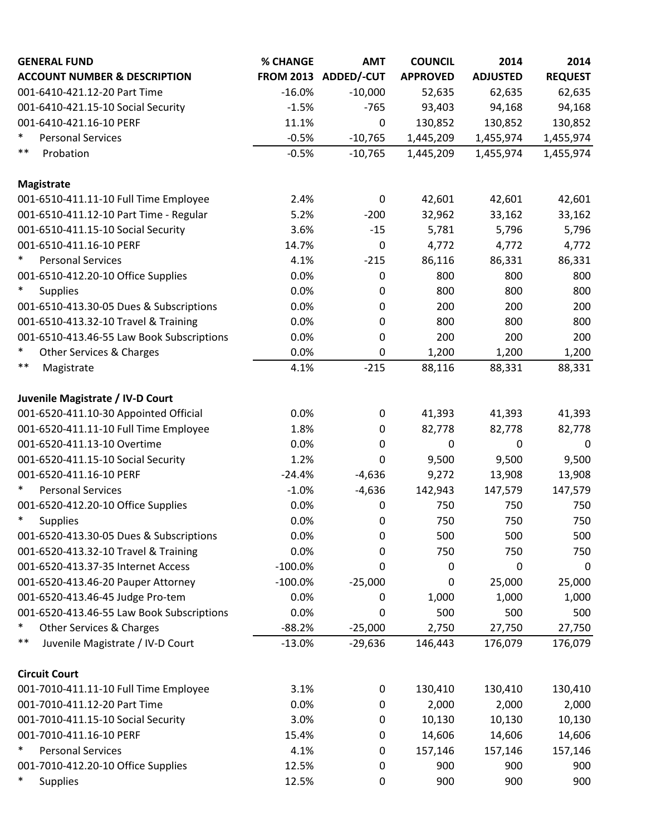| <b>GENERAL FUND</b>                       | % CHANGE  | <b>AMT</b>           | <b>COUNCIL</b>  | 2014            | 2014           |
|-------------------------------------------|-----------|----------------------|-----------------|-----------------|----------------|
| <b>ACCOUNT NUMBER &amp; DESCRIPTION</b>   |           | FROM 2013 ADDED/-CUT | <b>APPROVED</b> | <b>ADJUSTED</b> | <b>REQUEST</b> |
| 001-6410-421.12-20 Part Time              | $-16.0%$  | $-10,000$            | 52,635          | 62,635          | 62,635         |
| 001-6410-421.15-10 Social Security        | $-1.5%$   | $-765$               | 93,403          | 94,168          | 94,168         |
| 001-6410-421.16-10 PERF                   | 11.1%     | $\mathbf 0$          | 130,852         | 130,852         | 130,852        |
| $\ast$<br><b>Personal Services</b>        | $-0.5%$   | $-10,765$            | 1,445,209       | 1,455,974       | 1,455,974      |
| $***$<br>Probation                        | $-0.5%$   | $-10,765$            | 1,445,209       | 1,455,974       | 1,455,974      |
| <b>Magistrate</b>                         |           |                      |                 |                 |                |
| 001-6510-411.11-10 Full Time Employee     | 2.4%      | $\mathbf 0$          | 42,601          | 42,601          | 42,601         |
| 001-6510-411.12-10 Part Time - Regular    | 5.2%      | $-200$               | 32,962          | 33,162          | 33,162         |
| 001-6510-411.15-10 Social Security        | 3.6%      | $-15$                | 5,781           | 5,796           | 5,796          |
| 001-6510-411.16-10 PERF                   | 14.7%     | 0                    | 4,772           | 4,772           | 4,772          |
| $\ast$<br><b>Personal Services</b>        | 4.1%      | $-215$               | 86,116          | 86,331          | 86,331         |
| 001-6510-412.20-10 Office Supplies        | 0.0%      | 0                    | 800             | 800             | 800            |
| $\ast$<br><b>Supplies</b>                 | 0.0%      | 0                    | 800             | 800             | 800            |
| 001-6510-413.30-05 Dues & Subscriptions   | 0.0%      | 0                    | 200             | 200             | 200            |
| 001-6510-413.32-10 Travel & Training      | 0.0%      | 0                    | 800             | 800             | 800            |
| 001-6510-413.46-55 Law Book Subscriptions | 0.0%      | 0                    | 200             | 200             | 200            |
| $\ast$<br>Other Services & Charges        | 0.0%      | 0                    | 1,200           | 1,200           | 1,200          |
| $***$<br>Magistrate                       | 4.1%      | $-215$               | 88,116          | 88,331          | 88,331         |
| Juvenile Magistrate / IV-D Court          |           |                      |                 |                 |                |
| 001-6520-411.10-30 Appointed Official     | 0.0%      | 0                    | 41,393          | 41,393          | 41,393         |
| 001-6520-411.11-10 Full Time Employee     | 1.8%      | 0                    | 82,778          | 82,778          | 82,778         |
| 001-6520-411.13-10 Overtime               | 0.0%      | $\pmb{0}$            | $\mathbf 0$     | $\mathbf 0$     | $\pmb{0}$      |
| 001-6520-411.15-10 Social Security        | 1.2%      | 0                    | 9,500           | 9,500           | 9,500          |
| 001-6520-411.16-10 PERF                   | $-24.4%$  | $-4,636$             | 9,272           | 13,908          | 13,908         |
| $\ast$<br><b>Personal Services</b>        | $-1.0%$   | $-4,636$             | 142,943         | 147,579         | 147,579        |
| 001-6520-412.20-10 Office Supplies        | 0.0%      | 0                    | 750             | 750             | 750            |
| $\ast$<br><b>Supplies</b>                 | 0.0%      | 0                    | 750             | 750             | 750            |
| 001-6520-413.30-05 Dues & Subscriptions   | 0.0%      | 0                    | 500             | 500             | 500            |
| 001-6520-413.32-10 Travel & Training      | 0.0%      | 0                    | 750             | 750             | 750            |
| 001-6520-413.37-35 Internet Access        | $-100.0%$ | 0                    | 0               | 0               | 0              |
| 001-6520-413.46-20 Pauper Attorney        | $-100.0%$ | $-25,000$            | 0               | 25,000          | 25,000         |
| 001-6520-413.46-45 Judge Pro-tem          | 0.0%      | 0                    | 1,000           | 1,000           | 1,000          |
| 001-6520-413.46-55 Law Book Subscriptions | 0.0%      | 0                    | 500             | 500             | 500            |
| $\ast$<br>Other Services & Charges        | $-88.2%$  | $-25,000$            | 2,750           | 27,750          | 27,750         |
| $***$<br>Juvenile Magistrate / IV-D Court | $-13.0%$  | $-29,636$            | 146,443         | 176,079         | 176,079        |
| <b>Circuit Court</b>                      |           |                      |                 |                 |                |
| 001-7010-411.11-10 Full Time Employee     | 3.1%      | 0                    | 130,410         | 130,410         | 130,410        |
| 001-7010-411.12-20 Part Time              | 0.0%      | 0                    | 2,000           | 2,000           | 2,000          |
| 001-7010-411.15-10 Social Security        | 3.0%      | 0                    | 10,130          | 10,130          | 10,130         |
| 001-7010-411.16-10 PERF                   | 15.4%     | 0                    | 14,606          | 14,606          | 14,606         |
| $\ast$<br><b>Personal Services</b>        | 4.1%      | 0                    | 157,146         | 157,146         | 157,146        |
| 001-7010-412.20-10 Office Supplies        | 12.5%     | 0                    | 900             | 900             | 900            |
| $\ast$<br><b>Supplies</b>                 | 12.5%     | 0                    | 900             | 900             | 900            |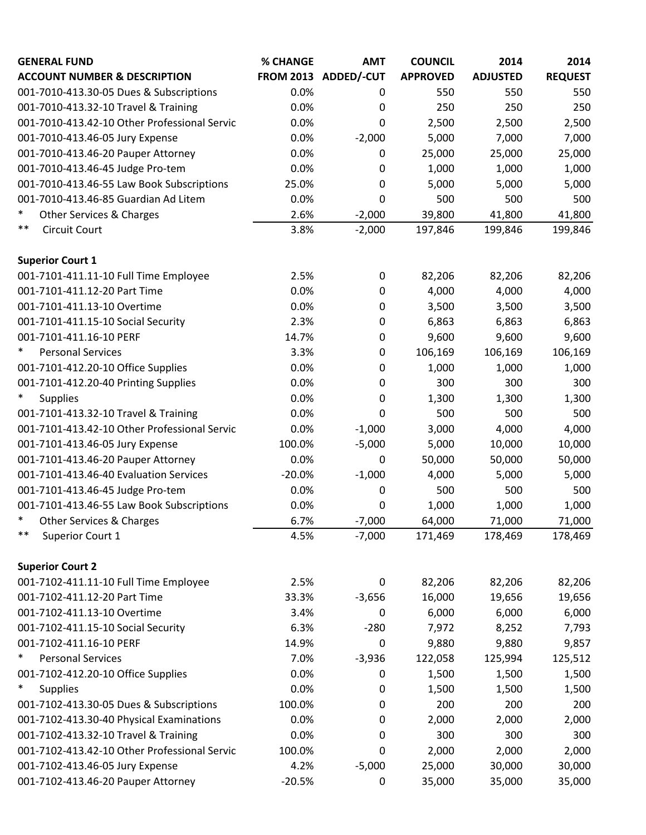| <b>GENERAL FUND</b>                           | % CHANGE | <b>AMT</b>           | <b>COUNCIL</b>  | 2014            | 2014           |
|-----------------------------------------------|----------|----------------------|-----------------|-----------------|----------------|
| <b>ACCOUNT NUMBER &amp; DESCRIPTION</b>       |          | FROM 2013 ADDED/-CUT | <b>APPROVED</b> | <b>ADJUSTED</b> | <b>REQUEST</b> |
| 001-7010-413.30-05 Dues & Subscriptions       | 0.0%     | 0                    | 550             | 550             | 550            |
| 001-7010-413.32-10 Travel & Training          | 0.0%     | 0                    | 250             | 250             | 250            |
| 001-7010-413.42-10 Other Professional Servic  | 0.0%     | 0                    | 2,500           | 2,500           | 2,500          |
| 001-7010-413.46-05 Jury Expense               | 0.0%     | $-2,000$             | 5,000           | 7,000           | 7,000          |
| 001-7010-413.46-20 Pauper Attorney            | 0.0%     | $\mathbf 0$          | 25,000          | 25,000          | 25,000         |
| 001-7010-413.46-45 Judge Pro-tem              | 0.0%     | 0                    | 1,000           | 1,000           | 1,000          |
| 001-7010-413.46-55 Law Book Subscriptions     | 25.0%    | $\mathbf 0$          | 5,000           | 5,000           | 5,000          |
| 001-7010-413.46-85 Guardian Ad Litem          | 0.0%     | 0                    | 500             | 500             | 500            |
| $\ast$<br>Other Services & Charges            | 2.6%     | $-2,000$             | 39,800          | 41,800          | 41,800         |
| $***$<br><b>Circuit Court</b>                 | 3.8%     | $-2,000$             | 197,846         | 199,846         | 199,846        |
| <b>Superior Court 1</b>                       |          |                      |                 |                 |                |
| 001-7101-411.11-10 Full Time Employee         | 2.5%     | 0                    | 82,206          | 82,206          | 82,206         |
| 001-7101-411.12-20 Part Time                  | 0.0%     | $\mathbf 0$          | 4,000           | 4,000           | 4,000          |
| 001-7101-411.13-10 Overtime                   | 0.0%     | 0                    | 3,500           | 3,500           | 3,500          |
| 001-7101-411.15-10 Social Security            | 2.3%     | $\mathbf 0$          | 6,863           | 6,863           | 6,863          |
| 001-7101-411.16-10 PERF                       | 14.7%    | $\pmb{0}$            | 9,600           | 9,600           | 9,600          |
| $\ast$<br><b>Personal Services</b>            | 3.3%     | 0                    | 106,169         | 106,169         | 106,169        |
| 001-7101-412.20-10 Office Supplies            | 0.0%     | 0                    | 1,000           | 1,000           | 1,000          |
| 001-7101-412.20-40 Printing Supplies          | 0.0%     | 0                    | 300             | 300             | 300            |
| $\ast$<br><b>Supplies</b>                     | 0.0%     | 0                    | 1,300           | 1,300           | 1,300          |
| 001-7101-413.32-10 Travel & Training          | 0.0%     | 0                    | 500             | 500             | 500            |
| 001-7101-413.42-10 Other Professional Servic  | 0.0%     | $-1,000$             | 3,000           | 4,000           | 4,000          |
| 001-7101-413.46-05 Jury Expense               | 100.0%   | $-5,000$             | 5,000           | 10,000          | 10,000         |
| 001-7101-413.46-20 Pauper Attorney            | 0.0%     | 0                    | 50,000          | 50,000          | 50,000         |
| 001-7101-413.46-40 Evaluation Services        | $-20.0%$ | $-1,000$             | 4,000           | 5,000           | 5,000          |
| 001-7101-413.46-45 Judge Pro-tem              | 0.0%     | 0                    | 500             | 500             | 500            |
| 001-7101-413.46-55 Law Book Subscriptions     | 0.0%     | 0                    | 1,000           | 1,000           | 1,000          |
| $\ast$<br><b>Other Services &amp; Charges</b> | 6.7%     | $-7,000$             | 64,000          | 71,000          | 71,000         |
| $***$<br>Superior Court 1                     | 4.5%     | $-7,000$             | 171,469         | 178,469         | 178,469        |
| <b>Superior Court 2</b>                       |          |                      |                 |                 |                |
| 001-7102-411.11-10 Full Time Employee         | 2.5%     | $\mathbf 0$          | 82,206          | 82,206          | 82,206         |
| 001-7102-411.12-20 Part Time                  | 33.3%    | $-3,656$             | 16,000          | 19,656          | 19,656         |
| 001-7102-411.13-10 Overtime                   | 3.4%     | 0                    | 6,000           | 6,000           | 6,000          |
| 001-7102-411.15-10 Social Security            | 6.3%     | $-280$               | 7,972           | 8,252           | 7,793          |
| 001-7102-411.16-10 PERF                       | 14.9%    | 0                    | 9,880           | 9,880           | 9,857          |
| $\ast$<br><b>Personal Services</b>            | 7.0%     | $-3,936$             | 122,058         | 125,994         | 125,512        |
| 001-7102-412.20-10 Office Supplies            | 0.0%     | 0                    | 1,500           | 1,500           | 1,500          |
| $\ast$<br><b>Supplies</b>                     | 0.0%     | 0                    | 1,500           | 1,500           | 1,500          |
| 001-7102-413.30-05 Dues & Subscriptions       | 100.0%   | 0                    | 200             | 200             | 200            |
| 001-7102-413.30-40 Physical Examinations      | 0.0%     | 0                    | 2,000           | 2,000           | 2,000          |
| 001-7102-413.32-10 Travel & Training          | 0.0%     | 0                    | 300             | 300             | 300            |
| 001-7102-413.42-10 Other Professional Servic  | 100.0%   | 0                    | 2,000           | 2,000           | 2,000          |
| 001-7102-413.46-05 Jury Expense               | 4.2%     | $-5,000$             | 25,000          | 30,000          | 30,000         |
| 001-7102-413.46-20 Pauper Attorney            | $-20.5%$ | 0                    | 35,000          | 35,000          | 35,000         |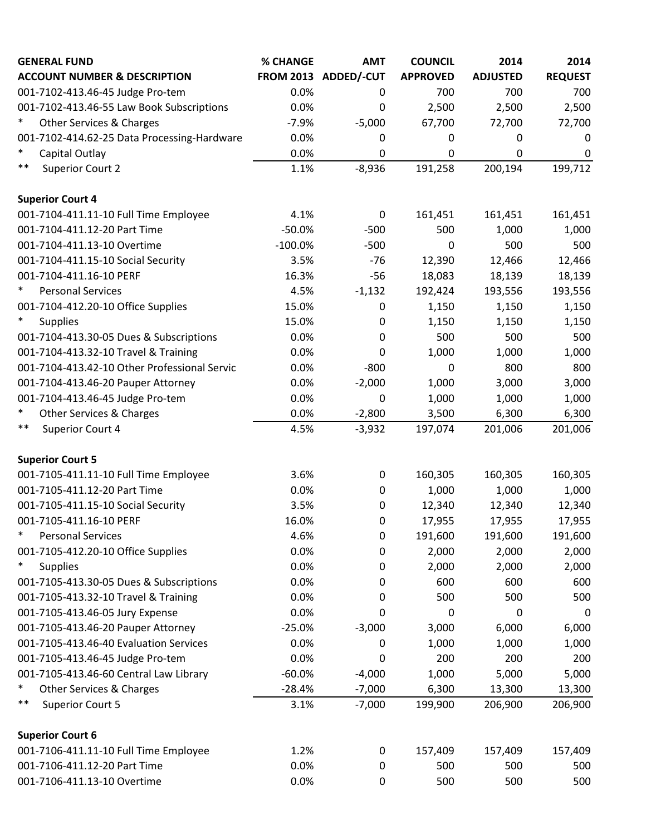| <b>GENERAL FUND</b>                          | % CHANGE  | <b>AMT</b>           | <b>COUNCIL</b>   | 2014            | 2014             |
|----------------------------------------------|-----------|----------------------|------------------|-----------------|------------------|
| <b>ACCOUNT NUMBER &amp; DESCRIPTION</b>      |           | FROM 2013 ADDED/-CUT | <b>APPROVED</b>  | <b>ADJUSTED</b> | <b>REQUEST</b>   |
| 001-7102-413.46-45 Judge Pro-tem             | 0.0%      | 0                    | 700              | 700             | 700              |
| 001-7102-413.46-55 Law Book Subscriptions    | 0.0%      | $\mathbf 0$          | 2,500            | 2,500           | 2,500            |
| $\ast$<br>Other Services & Charges           | $-7.9%$   | $-5,000$             | 67,700           | 72,700          | 72,700           |
| 001-7102-414.62-25 Data Processing-Hardware  | 0.0%      | 0                    | $\boldsymbol{0}$ | 0               | 0                |
| $\ast$<br>Capital Outlay                     | 0.0%      | $\mathbf 0$          | 0                | 0               | $\boldsymbol{0}$ |
| $***$<br><b>Superior Court 2</b>             | 1.1%      | $-8,936$             | 191,258          | 200,194         | 199,712          |
| <b>Superior Court 4</b>                      |           |                      |                  |                 |                  |
| 001-7104-411.11-10 Full Time Employee        | 4.1%      | $\boldsymbol{0}$     | 161,451          | 161,451         | 161,451          |
| 001-7104-411.12-20 Part Time                 | $-50.0%$  | $-500$               | 500              | 1,000           | 1,000            |
| 001-7104-411.13-10 Overtime                  | $-100.0%$ | $-500$               | 0                | 500             | 500              |
| 001-7104-411.15-10 Social Security           | 3.5%      | $-76$                | 12,390           | 12,466          | 12,466           |
| 001-7104-411.16-10 PERF                      | 16.3%     | $-56$                | 18,083           | 18,139          | 18,139           |
| $\ast$<br><b>Personal Services</b>           | 4.5%      | $-1,132$             | 192,424          | 193,556         | 193,556          |
| 001-7104-412.20-10 Office Supplies           | 15.0%     | $\boldsymbol{0}$     | 1,150            | 1,150           | 1,150            |
| $\ast$<br><b>Supplies</b>                    | 15.0%     | $\boldsymbol{0}$     | 1,150            | 1,150           | 1,150            |
| 001-7104-413.30-05 Dues & Subscriptions      | 0.0%      | 0                    | 500              | 500             | 500              |
| 001-7104-413.32-10 Travel & Training         | 0.0%      | 0                    | 1,000            | 1,000           | 1,000            |
| 001-7104-413.42-10 Other Professional Servic | 0.0%      | $-800$               | $\boldsymbol{0}$ | 800             | 800              |
| 001-7104-413.46-20 Pauper Attorney           | 0.0%      | $-2,000$             | 1,000            | 3,000           | 3,000            |
| 001-7104-413.46-45 Judge Pro-tem             | 0.0%      | $\boldsymbol{0}$     | 1,000            | 1,000           | 1,000            |
| $\ast$<br>Other Services & Charges           | 0.0%      | $-2,800$             | 3,500            | 6,300           | 6,300            |
| $***$<br>Superior Court 4                    | 4.5%      | $-3,932$             | 197,074          | 201,006         | 201,006          |
| <b>Superior Court 5</b>                      |           |                      |                  |                 |                  |
| 001-7105-411.11-10 Full Time Employee        | 3.6%      | $\mathbf 0$          | 160,305          | 160,305         | 160,305          |
| 001-7105-411.12-20 Part Time                 | 0.0%      | $\boldsymbol{0}$     | 1,000            | 1,000           | 1,000            |
| 001-7105-411.15-10 Social Security           | 3.5%      | $\mathbf 0$          | 12,340           | 12,340          | 12,340           |
| 001-7105-411.16-10 PERF                      | 16.0%     | 0                    | 17,955           | 17,955          | 17,955           |
| $\ast$<br><b>Personal Services</b>           | 4.6%      | $\boldsymbol{0}$     | 191,600          | 191,600         | 191,600          |
| 001-7105-412.20-10 Office Supplies           | 0.0%      | $\boldsymbol{0}$     | 2,000            | 2,000           | 2,000            |
| $\ast$<br><b>Supplies</b>                    | 0.0%      | 0                    | 2,000            | 2,000           | 2,000            |
| 001-7105-413.30-05 Dues & Subscriptions      | 0.0%      | 0                    | 600              | 600             | 600              |
| 001-7105-413.32-10 Travel & Training         | 0.0%      | 0                    | 500              | 500             | 500              |
| 001-7105-413.46-05 Jury Expense              | 0.0%      | 0                    | 0                | 0               | 0                |
| 001-7105-413.46-20 Pauper Attorney           | $-25.0%$  | $-3,000$             | 3,000            | 6,000           | 6,000            |
| 001-7105-413.46-40 Evaluation Services       | 0.0%      | 0                    | 1,000            | 1,000           | 1,000            |
| 001-7105-413.46-45 Judge Pro-tem             | 0.0%      | 0                    | 200              | 200             | 200              |
| 001-7105-413.46-60 Central Law Library       | $-60.0%$  | $-4,000$             | 1,000            | 5,000           | 5,000            |
| $\ast$<br>Other Services & Charges           | $-28.4%$  | $-7,000$             | 6,300            | 13,300          | 13,300           |
| $***$<br><b>Superior Court 5</b>             | 3.1%      | $-7,000$             | 199,900          | 206,900         | 206,900          |
| <b>Superior Court 6</b>                      |           |                      |                  |                 |                  |
| 001-7106-411.11-10 Full Time Employee        | 1.2%      | 0                    | 157,409          | 157,409         | 157,409          |
| 001-7106-411.12-20 Part Time                 | 0.0%      | 0                    | 500              | 500             | 500              |
| 001-7106-411.13-10 Overtime                  | 0.0%      | $\boldsymbol{0}$     | 500              | 500             | 500              |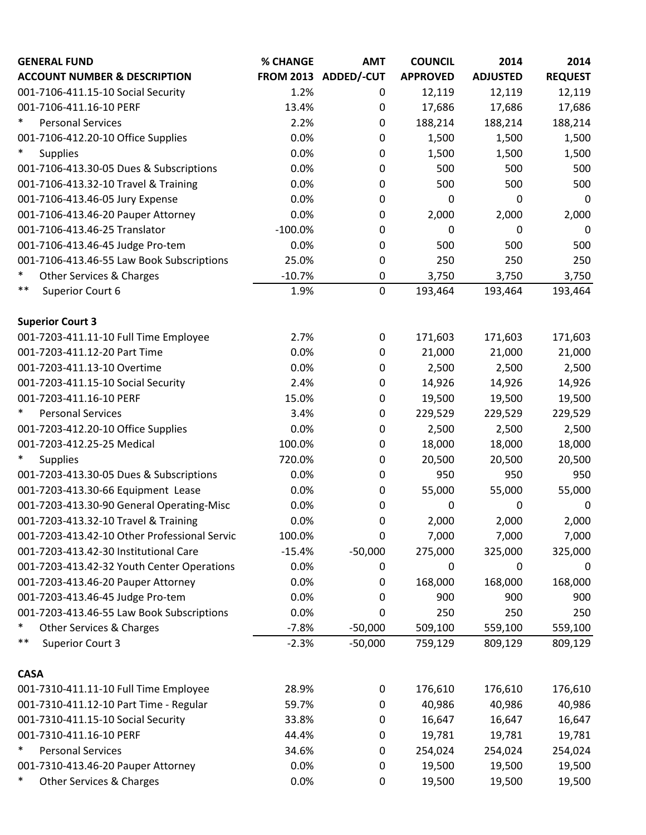| <b>GENERAL FUND</b>                           | <b>% CHANGE</b> | <b>AMT</b>           | <b>COUNCIL</b>  | 2014            | 2014           |
|-----------------------------------------------|-----------------|----------------------|-----------------|-----------------|----------------|
| <b>ACCOUNT NUMBER &amp; DESCRIPTION</b>       |                 | FROM 2013 ADDED/-CUT | <b>APPROVED</b> | <b>ADJUSTED</b> | <b>REQUEST</b> |
| 001-7106-411.15-10 Social Security            | 1.2%            | 0                    | 12,119          | 12,119          | 12,119         |
| 001-7106-411.16-10 PERF                       | 13.4%           | 0                    | 17,686          | 17,686          | 17,686         |
| $\ast$<br><b>Personal Services</b>            | 2.2%            | 0                    | 188,214         | 188,214         | 188,214        |
| 001-7106-412.20-10 Office Supplies            | 0.0%            | 0                    | 1,500           | 1,500           | 1,500          |
| $\ast$<br><b>Supplies</b>                     | 0.0%            | $\mathbf 0$          | 1,500           | 1,500           | 1,500          |
| 001-7106-413.30-05 Dues & Subscriptions       | 0.0%            | 0                    | 500             | 500             | 500            |
| 001-7106-413.32-10 Travel & Training          | 0.0%            | $\boldsymbol{0}$     | 500             | 500             | 500            |
| 001-7106-413.46-05 Jury Expense               | 0.0%            | 0                    | 0               | 0               | 0              |
| 001-7106-413.46-20 Pauper Attorney            | 0.0%            | 0                    | 2,000           | 2,000           | 2,000          |
| 001-7106-413.46-25 Translator                 | $-100.0%$       | $\boldsymbol{0}$     | 0               | 0               | $\mathbf 0$    |
| 001-7106-413.46-45 Judge Pro-tem              | 0.0%            | 0                    | 500             | 500             | 500            |
| 001-7106-413.46-55 Law Book Subscriptions     | 25.0%           | $\mathbf 0$          | 250             | 250             | 250            |
| ∗<br>Other Services & Charges                 | $-10.7%$        | 0                    | 3,750           | 3,750           | 3,750          |
| $***$<br>Superior Court 6                     | 1.9%            | $\overline{0}$       | 193,464         | 193,464         | 193,464        |
| <b>Superior Court 3</b>                       |                 |                      |                 |                 |                |
| 001-7203-411.11-10 Full Time Employee         | 2.7%            | $\boldsymbol{0}$     | 171,603         | 171,603         | 171,603        |
| 001-7203-411.12-20 Part Time                  | 0.0%            | 0                    | 21,000          | 21,000          | 21,000         |
| 001-7203-411.13-10 Overtime                   | 0.0%            | 0                    | 2,500           | 2,500           | 2,500          |
| 001-7203-411.15-10 Social Security            | 2.4%            | 0                    | 14,926          | 14,926          | 14,926         |
| 001-7203-411.16-10 PERF                       | 15.0%           | $\boldsymbol{0}$     | 19,500          | 19,500          | 19,500         |
| *<br><b>Personal Services</b>                 | 3.4%            | 0                    | 229,529         | 229,529         | 229,529        |
| 001-7203-412.20-10 Office Supplies            | 0.0%            | 0                    | 2,500           | 2,500           | 2,500          |
| 001-7203-412.25-25 Medical                    | 100.0%          | $\boldsymbol{0}$     | 18,000          | 18,000          | 18,000         |
| $\ast$<br><b>Supplies</b>                     | 720.0%          | $\mathbf 0$          | 20,500          | 20,500          | 20,500         |
| 001-7203-413.30-05 Dues & Subscriptions       | 0.0%            | $\mathbf 0$          | 950             | 950             | 950            |
| 001-7203-413.30-66 Equipment Lease            | 0.0%            | 0                    | 55,000          | 55,000          | 55,000         |
| 001-7203-413.30-90 General Operating-Misc     | 0.0%            | $\mathbf 0$          | 0               | 0               | 0              |
| 001-7203-413.32-10 Travel & Training          | 0.0%            | 0                    | 2,000           | 2,000           | 2,000          |
| 001-7203-413.42-10 Other Professional Servic  | 100.0%          | 0                    | 7,000           | 7,000           | 7,000          |
| 001-7203-413.42-30 Institutional Care         | $-15.4%$        | $-50,000$            | 275,000         | 325,000         | 325,000        |
| 001-7203-413.42-32 Youth Center Operations    | 0.0%            | 0                    | 0               | 0               | 0              |
| 001-7203-413.46-20 Pauper Attorney            | 0.0%            | 0                    | 168,000         | 168,000         | 168,000        |
| 001-7203-413.46-45 Judge Pro-tem              | 0.0%            | 0                    | 900             | 900             | 900            |
| 001-7203-413.46-55 Law Book Subscriptions     | 0.0%            | 0                    | 250             | 250             | 250            |
| ∗<br>Other Services & Charges                 | $-7.8%$         | $-50,000$            | 509,100         | 559,100         | 559,100        |
| $***$<br><b>Superior Court 3</b>              | $-2.3%$         | $-50,000$            | 759,129         | 809,129         | 809,129        |
| <b>CASA</b>                                   |                 |                      |                 |                 |                |
| 001-7310-411.11-10 Full Time Employee         | 28.9%           | 0                    | 176,610         | 176,610         | 176,610        |
| 001-7310-411.12-10 Part Time - Regular        | 59.7%           | 0                    | 40,986          | 40,986          | 40,986         |
| 001-7310-411.15-10 Social Security            | 33.8%           | 0                    | 16,647          | 16,647          | 16,647         |
| 001-7310-411.16-10 PERF                       | 44.4%           | $\mathbf 0$          | 19,781          | 19,781          | 19,781         |
| *<br><b>Personal Services</b>                 | 34.6%           | 0                    | 254,024         | 254,024         | 254,024        |
| 001-7310-413.46-20 Pauper Attorney            | 0.0%            | 0                    | 19,500          | 19,500          | 19,500         |
| $\ast$<br><b>Other Services &amp; Charges</b> | 0.0%            | $\mathbf 0$          | 19,500          | 19,500          | 19,500         |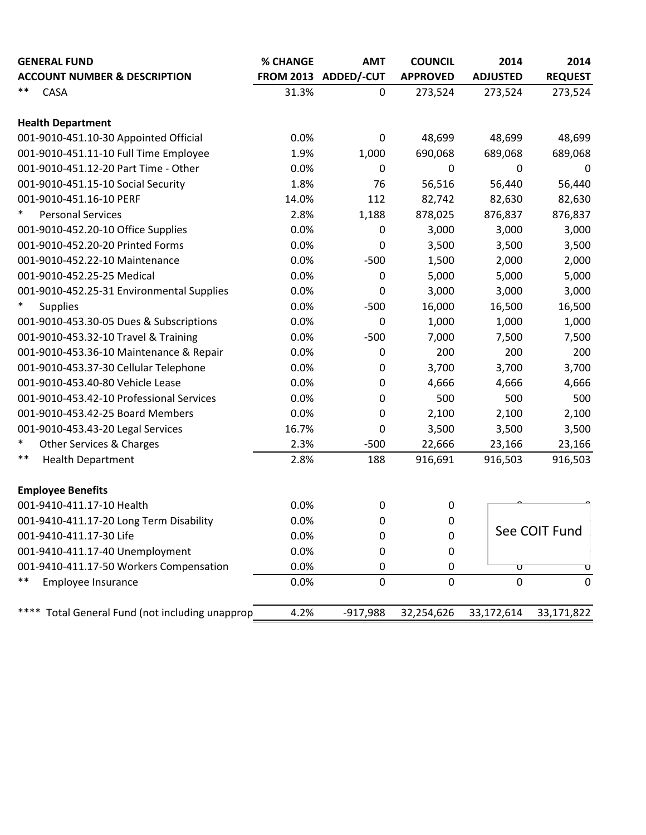| <b>GENERAL FUND</b>                                | % CHANGE | <b>AMT</b>           | <b>COUNCIL</b>  | 2014                    | 2014           |
|----------------------------------------------------|----------|----------------------|-----------------|-------------------------|----------------|
| <b>ACCOUNT NUMBER &amp; DESCRIPTION</b>            |          | FROM 2013 ADDED/-CUT | <b>APPROVED</b> | <b>ADJUSTED</b>         | <b>REQUEST</b> |
| **<br>CASA                                         | 31.3%    | $\mathbf 0$          | 273,524         | 273,524                 | 273,524        |
| <b>Health Department</b>                           |          |                      |                 |                         |                |
| 001-9010-451.10-30 Appointed Official              | 0.0%     | $\mathbf 0$          | 48,699          | 48,699                  | 48,699         |
| 001-9010-451.11-10 Full Time Employee              | 1.9%     | 1,000                | 690,068         | 689,068                 | 689,068        |
| 001-9010-451.12-20 Part Time - Other               | 0.0%     | $\mathbf 0$          | $\pmb{0}$       | 0                       | 0              |
| 001-9010-451.15-10 Social Security                 | 1.8%     | 76                   | 56,516          | 56,440                  | 56,440         |
| 001-9010-451.16-10 PERF                            | 14.0%    | 112                  | 82,742          | 82,630                  | 82,630         |
| $\ast$<br><b>Personal Services</b>                 | 2.8%     | 1,188                | 878,025         | 876,837                 | 876,837        |
| 001-9010-452.20-10 Office Supplies                 | 0.0%     | $\mathbf 0$          | 3,000           | 3,000                   | 3,000          |
| 001-9010-452.20-20 Printed Forms                   | 0.0%     | $\mathbf 0$          | 3,500           | 3,500                   | 3,500          |
| 001-9010-452.22-10 Maintenance                     | 0.0%     | $-500$               | 1,500           | 2,000                   | 2,000          |
| 001-9010-452.25-25 Medical                         | 0.0%     | 0                    | 5,000           | 5,000                   | 5,000          |
| 001-9010-452.25-31 Environmental Supplies          | 0.0%     | 0                    | 3,000           | 3,000                   | 3,000          |
| $\ast$<br><b>Supplies</b>                          | 0.0%     | $-500$               | 16,000          | 16,500                  | 16,500         |
| 001-9010-453.30-05 Dues & Subscriptions            | 0.0%     | $\mathbf 0$          | 1,000           | 1,000                   | 1,000          |
| 001-9010-453.32-10 Travel & Training               | 0.0%     | $-500$               | 7,000           | 7,500                   | 7,500          |
| 001-9010-453.36-10 Maintenance & Repair            | 0.0%     | 0                    | 200             | 200                     | 200            |
| 001-9010-453.37-30 Cellular Telephone              | 0.0%     | $\boldsymbol{0}$     | 3,700           | 3,700                   | 3,700          |
| 001-9010-453.40-80 Vehicle Lease                   | 0.0%     | $\mathbf 0$          | 4,666           | 4,666                   | 4,666          |
| 001-9010-453.42-10 Professional Services           | 0.0%     | $\mathbf 0$          | 500             | 500                     | 500            |
| 001-9010-453.42-25 Board Members                   | 0.0%     | $\mathbf 0$          | 2,100           | 2,100                   | 2,100          |
| 001-9010-453.43-20 Legal Services                  | 16.7%    | 0                    | 3,500           | 3,500                   | 3,500          |
| $\ast$<br>Other Services & Charges                 | 2.3%     | $-500$               | 22,666          | 23,166                  | 23,166         |
| $***$<br><b>Health Department</b>                  | 2.8%     | 188                  | 916,691         | 916,503                 | 916,503        |
| <b>Employee Benefits</b>                           |          |                      |                 |                         |                |
| 001-9410-411.17-10 Health                          | 0.0%     | $\pmb{0}$            | 0               |                         |                |
| 001-9410-411.17-20 Long Term Disability            | 0.0%     | $\mathbf 0$          | $\mathbf 0$     |                         |                |
| 001-9410-411.17-30 Life                            | 0.0%     | 0                    | $\pmb{0}$       |                         | See COIT Fund  |
| 001-9410-411.17-40 Unemployment                    | 0.0%     | 0                    | $\pmb{0}$       |                         |                |
| 001-9410-411.17-50 Workers Compensation            | 0.0%     | 0                    | 0               | $\overline{\mathtt{U}}$ |                |
| **<br>Employee Insurance                           | 0.0%     | $\mathbf 0$          | $\mathbf 0$     | $\overline{0}$          | 0              |
| Total General Fund (not including unapprop<br>**** | 4.2%     | $-917,988$           | 32,254,626      | 33,172,614              | 33,171,822     |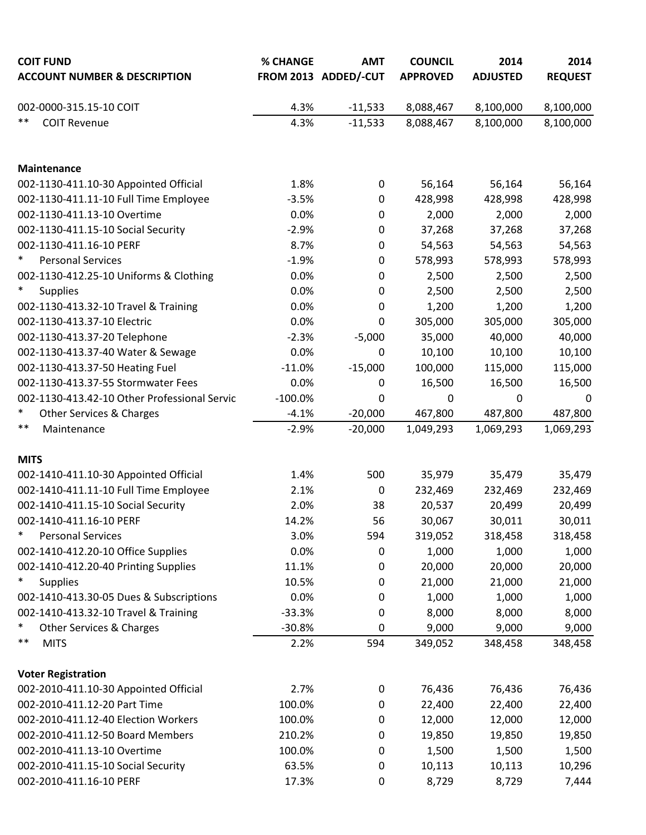| <b>COIT FUND</b>                             | % CHANGE  | <b>AMT</b>           | <b>COUNCIL</b>  | 2014            | 2014           |
|----------------------------------------------|-----------|----------------------|-----------------|-----------------|----------------|
| <b>ACCOUNT NUMBER &amp; DESCRIPTION</b>      |           | FROM 2013 ADDED/-CUT | <b>APPROVED</b> | <b>ADJUSTED</b> | <b>REQUEST</b> |
| 002-0000-315.15-10 COIT                      | 4.3%      | $-11,533$            | 8,088,467       | 8,100,000       | 8,100,000      |
| $***$<br><b>COIT Revenue</b>                 | 4.3%      | $-11,533$            | 8,088,467       | 8,100,000       | 8,100,000      |
|                                              |           |                      |                 |                 |                |
| <b>Maintenance</b>                           |           |                      |                 |                 |                |
| 002-1130-411.10-30 Appointed Official        | 1.8%      | $\mathbf 0$          | 56,164          | 56,164          | 56,164         |
| 002-1130-411.11-10 Full Time Employee        | $-3.5%$   | 0                    | 428,998         | 428,998         | 428,998        |
| 002-1130-411.13-10 Overtime                  | 0.0%      | 0                    | 2,000           | 2,000           | 2,000          |
| 002-1130-411.15-10 Social Security           | $-2.9%$   | 0                    | 37,268          | 37,268          | 37,268         |
| 002-1130-411.16-10 PERF                      | 8.7%      | 0                    | 54,563          | 54,563          | 54,563         |
| $\ast$<br><b>Personal Services</b>           | $-1.9%$   | 0                    | 578,993         | 578,993         | 578,993        |
| 002-1130-412.25-10 Uniforms & Clothing       | 0.0%      | 0                    | 2,500           | 2,500           | 2,500          |
| $\ast$<br><b>Supplies</b>                    | 0.0%      | 0                    | 2,500           | 2,500           | 2,500          |
| 002-1130-413.32-10 Travel & Training         | 0.0%      | 0                    | 1,200           | 1,200           | 1,200          |
| 002-1130-413.37-10 Electric                  | 0.0%      | 0                    | 305,000         | 305,000         | 305,000        |
| 002-1130-413.37-20 Telephone                 | $-2.3%$   | $-5,000$             | 35,000          | 40,000          | 40,000         |
| 002-1130-413.37-40 Water & Sewage            | 0.0%      | 0                    | 10,100          | 10,100          | 10,100         |
| 002-1130-413.37-50 Heating Fuel              | $-11.0%$  | $-15,000$            | 100,000         | 115,000         | 115,000        |
| 002-1130-413.37-55 Stormwater Fees           | 0.0%      | 0                    | 16,500          | 16,500          | 16,500         |
| 002-1130-413.42-10 Other Professional Servic | $-100.0%$ | 0                    | 0               | $\mathbf 0$     | 0              |
| $\ast$<br>Other Services & Charges           | $-4.1%$   | $-20,000$            | 467,800         | 487,800         | 487,800        |
| $***$<br>Maintenance                         | $-2.9%$   | $-20,000$            | 1,049,293       | 1,069,293       | 1,069,293      |
| <b>MITS</b>                                  |           |                      |                 |                 |                |
| 002-1410-411.10-30 Appointed Official        | 1.4%      | 500                  | 35,979          | 35,479          | 35,479         |
| 002-1410-411.11-10 Full Time Employee        | 2.1%      | 0                    | 232,469         | 232,469         | 232,469        |
| 002-1410-411.15-10 Social Security           | 2.0%      | 38                   | 20,537          | 20,499          | 20,499         |
| 002-1410-411.16-10 PERF                      | 14.2%     | 56                   | 30,067          | 30,011          | 30,011         |
| $\ast$<br><b>Personal Services</b>           | 3.0%      | 594                  | 319,052         | 318,458         | 318,458        |
| 002-1410-412.20-10 Office Supplies           | 0.0%      | 0                    | 1,000           | 1,000           | 1,000          |
| 002-1410-412.20-40 Printing Supplies         | 11.1%     | 0                    | 20,000          | 20,000          | 20,000         |
| $\ast$<br><b>Supplies</b>                    | 10.5%     | 0                    | 21,000          | 21,000          | 21,000         |
| 002-1410-413.30-05 Dues & Subscriptions      | 0.0%      | 0                    | 1,000           | 1,000           | 1,000          |
| 002-1410-413.32-10 Travel & Training         | $-33.3%$  | 0                    | 8,000           | 8,000           | 8,000          |
| ∗<br>Other Services & Charges                | $-30.8%$  | 0                    | 9,000           | 9,000           | 9,000          |
| $***$<br><b>MITS</b>                         | 2.2%      | 594                  | 349,052         | 348,458         | 348,458        |
| <b>Voter Registration</b>                    |           |                      |                 |                 |                |
| 002-2010-411.10-30 Appointed Official        | 2.7%      | 0                    | 76,436          | 76,436          | 76,436         |
| 002-2010-411.12-20 Part Time                 | 100.0%    | 0                    | 22,400          | 22,400          | 22,400         |
| 002-2010-411.12-40 Election Workers          | 100.0%    | 0                    | 12,000          | 12,000          | 12,000         |
| 002-2010-411.12-50 Board Members             | 210.2%    | 0                    | 19,850          | 19,850          | 19,850         |
| 002-2010-411.13-10 Overtime                  | 100.0%    | 0                    | 1,500           | 1,500           | 1,500          |
| 002-2010-411.15-10 Social Security           | 63.5%     | 0                    | 10,113          | 10,113          | 10,296         |
| 002-2010-411.16-10 PERF                      | 17.3%     | 0                    | 8,729           | 8,729           | 7,444          |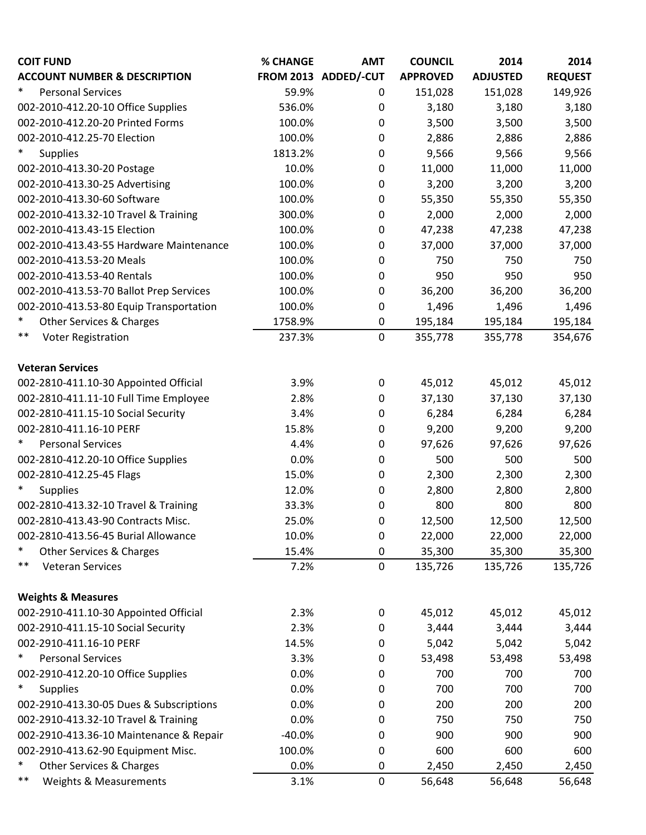| <b>COIT FUND</b>                        | % CHANGE | <b>AMT</b>           | <b>COUNCIL</b>  | 2014            | 2014           |
|-----------------------------------------|----------|----------------------|-----------------|-----------------|----------------|
| <b>ACCOUNT NUMBER &amp; DESCRIPTION</b> |          | FROM 2013 ADDED/-CUT | <b>APPROVED</b> | <b>ADJUSTED</b> | <b>REQUEST</b> |
| $\ast$<br><b>Personal Services</b>      | 59.9%    | 0                    | 151,028         | 151,028         | 149,926        |
| 002-2010-412.20-10 Office Supplies      | 536.0%   | 0                    | 3,180           | 3,180           | 3,180          |
| 002-2010-412.20-20 Printed Forms        | 100.0%   | 0                    | 3,500           | 3,500           | 3,500          |
| 002-2010-412.25-70 Election             | 100.0%   | $\boldsymbol{0}$     | 2,886           | 2,886           | 2,886          |
| $\ast$<br><b>Supplies</b>               | 1813.2%  | $\mathbf 0$          | 9,566           | 9,566           | 9,566          |
| 002-2010-413.30-20 Postage              | 10.0%    | 0                    | 11,000          | 11,000          | 11,000         |
| 002-2010-413.30-25 Advertising          | 100.0%   | $\mathbf 0$          | 3,200           | 3,200           | 3,200          |
| 002-2010-413.30-60 Software             | 100.0%   | 0                    | 55,350          | 55,350          | 55,350         |
| 002-2010-413.32-10 Travel & Training    | 300.0%   | 0                    | 2,000           | 2,000           | 2,000          |
| 002-2010-413.43-15 Election             | 100.0%   | 0                    | 47,238          | 47,238          | 47,238         |
| 002-2010-413.43-55 Hardware Maintenance | 100.0%   | 0                    | 37,000          | 37,000          | 37,000         |
| 002-2010-413.53-20 Meals                | 100.0%   | 0                    | 750             | 750             | 750            |
| 002-2010-413.53-40 Rentals              | 100.0%   | 0                    | 950             | 950             | 950            |
| 002-2010-413.53-70 Ballot Prep Services | 100.0%   | $\mathbf 0$          | 36,200          | 36,200          | 36,200         |
| 002-2010-413.53-80 Equip Transportation | 100.0%   | 0                    | 1,496           | 1,496           | 1,496          |
| $\ast$<br>Other Services & Charges      | 1758.9%  | $\boldsymbol{0}$     | 195,184         | 195,184         | 195,184        |
| $***$<br><b>Voter Registration</b>      | 237.3%   | $\mathbf 0$          | 355,778         | 355,778         | 354,676        |
|                                         |          |                      |                 |                 |                |
| <b>Veteran Services</b>                 |          |                      |                 |                 |                |
| 002-2810-411.10-30 Appointed Official   | 3.9%     | $\boldsymbol{0}$     | 45,012          | 45,012          | 45,012         |
| 002-2810-411.11-10 Full Time Employee   | 2.8%     | $\boldsymbol{0}$     | 37,130          | 37,130          | 37,130         |
| 002-2810-411.15-10 Social Security      | 3.4%     | 0                    | 6,284           | 6,284           | 6,284          |
| 002-2810-411.16-10 PERF                 | 15.8%    | $\boldsymbol{0}$     | 9,200           | 9,200           | 9,200          |
| $\ast$<br><b>Personal Services</b>      | 4.4%     | $\boldsymbol{0}$     | 97,626          | 97,626          | 97,626         |
| 002-2810-412.20-10 Office Supplies      | 0.0%     | 0                    | 500             | 500             | 500            |
| 002-2810-412.25-45 Flags                | 15.0%    | $\boldsymbol{0}$     | 2,300           | 2,300           | 2,300          |
| $\ast$<br><b>Supplies</b>               | 12.0%    | 0                    | 2,800           | 2,800           | 2,800          |
| 002-2810-413.32-10 Travel & Training    | 33.3%    | 0                    | 800             | 800             | 800            |
| 002-2810-413.43-90 Contracts Misc.      | 25.0%    | 0                    | 12,500          | 12,500          | 12,500         |
| 002-2810-413.56-45 Burial Allowance     | 10.0%    | $\boldsymbol{0}$     | 22,000          | 22,000          | 22,000         |
| $\ast$<br>Other Services & Charges      | 15.4%    | $\mathbf 0$          | 35,300          | 35,300          | 35,300         |
| $***$<br><b>Veteran Services</b>        | 7.2%     | $\mathbf 0$          | 135,726         | 135,726         | 135,726        |
|                                         |          |                      |                 |                 |                |
| <b>Weights &amp; Measures</b>           |          |                      |                 |                 |                |
| 002-2910-411.10-30 Appointed Official   | 2.3%     | $\pmb{0}$            | 45,012          | 45,012          | 45,012         |
| 002-2910-411.15-10 Social Security      | 2.3%     | $\boldsymbol{0}$     | 3,444           | 3,444           | 3,444          |
| 002-2910-411.16-10 PERF                 | 14.5%    | 0                    | 5,042           | 5,042           | 5,042          |
| $\ast$<br><b>Personal Services</b>      | 3.3%     | $\boldsymbol{0}$     | 53,498          | 53,498          | 53,498         |
| 002-2910-412.20-10 Office Supplies      | 0.0%     | 0                    | 700             | 700             | 700            |
| $\ast$<br><b>Supplies</b>               | 0.0%     | 0                    | 700             | 700             | 700            |
| 002-2910-413.30-05 Dues & Subscriptions | 0.0%     | 0                    | 200             | 200             | 200            |
| 002-2910-413.32-10 Travel & Training    | 0.0%     | 0                    | 750             | 750             | 750            |
| 002-2910-413.36-10 Maintenance & Repair | $-40.0%$ | 0                    | 900             | 900             | 900            |
| 002-2910-413.62-90 Equipment Misc.      | 100.0%   | 0                    | 600             | 600             | 600            |
| $\ast$<br>Other Services & Charges      | 0.0%     | $\boldsymbol{0}$     | 2,450           | 2,450           | 2,450          |
| $***$<br>Weights & Measurements         | 3.1%     | $\mathbf 0$          | 56,648          | 56,648          | 56,648         |